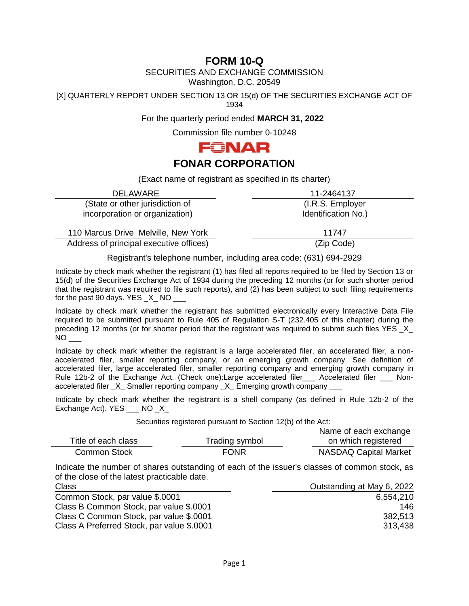# **FORM 10-Q**

SECURITIES AND EXCHANGE COMMISSION

Washington, D.C. 20549

[X] QUARTERLY REPORT UNDER SECTION 13 OR 15(d) OF THE SECURITIES EXCHANGE ACT OF 1934

For the quarterly period ended **MARCH 31, 2022**

Commission file number 0-10248



# **FONAR CORPORATION**

(Exact name of registrant as specified in its charter)

| <b>DELAWARE</b>                         | 11-2464137          |
|-----------------------------------------|---------------------|
| (State or other jurisdiction of         | (I.R.S. Employer)   |
| incorporation or organization)          | Identification No.) |
|                                         |                     |
| 110 Marcus Drive Melville, New York     | 11747               |
| Address of principal executive offices) | (Zip Code)          |

Registrant's telephone number, including area code: (631) 694-2929

Indicate by check mark whether the registrant (1) has filed all reports required to be filed by Section 13 or 15(d) of the Securities Exchange Act of 1934 during the preceding 12 months (or for such shorter period that the registrant was required to file such reports), and (2) has been subject to such filing requirements for the past 90 days. YES  $\,$  X  $\,$  NO  $\,$ 

Indicate by check mark whether the registrant has submitted electronically every Interactive Data File required to be submitted pursuant to Rule 405 of Regulation S-T (232.405 of this chapter) during the preceding 12 months (or for shorter period that the registrant was required to submit such files YES \_X\_  $NO$ 

Indicate by check mark whether the registrant is a large accelerated filer, an accelerated filer, a nonaccelerated filer, smaller reporting company, or an emerging growth company. See definition of accelerated filer, large accelerated filer, smaller reporting company and emerging growth company in Rule 12b-2 of the Exchange Act. (Check one):Large accelerated filer Accelerated filer Nonaccelerated filer \_X\_ Smaller reporting company \_X\_ Emerging growth company \_

Indicate by check mark whether the registrant is a shell company (as defined in Rule 12b-2 of the Exchange Act). YES \_\_\_ NO \_X\_

Securities registered pursuant to Section 12(b) of the Act:

|                     |                | Name of each exchange        |
|---------------------|----------------|------------------------------|
| Title of each class | Trading symbol | on which registered          |
| Common Stock        | <b>FONR</b>    | <b>NASDAQ Capital Market</b> |

Indicate the number of shares outstanding of each of the issuer's classes of common stock, as of the close of the latest practicable date.

| Outstanding at May 6, 2022 |
|----------------------------|
| 6,554,210                  |
| 146                        |
| 382,513                    |
| 313,438                    |
|                            |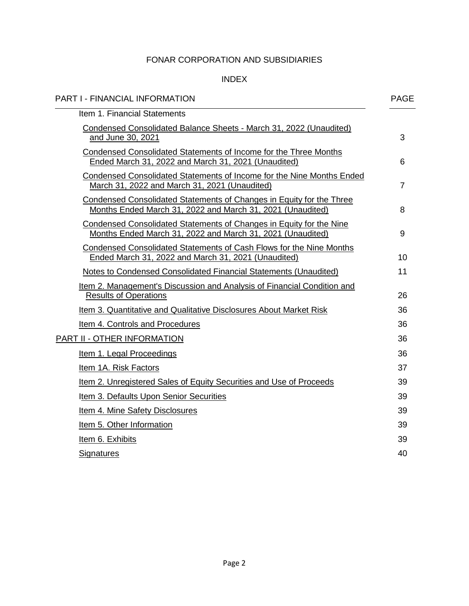# INDEX

| <b>PART I - FINANCIAL INFORMATION</b>                                                                                              | <b>PAGE</b> |
|------------------------------------------------------------------------------------------------------------------------------------|-------------|
| Item 1. Financial Statements                                                                                                       |             |
| Condensed Consolidated Balance Sheets - March 31, 2022 (Unaudited)<br>and June 30, 2021                                            | 3           |
| Condensed Consolidated Statements of Income for the Three Months<br>Ended March 31, 2022 and March 31, 2021 (Unaudited)            | 6           |
| <b>Condensed Consolidated Statements of Income for the Nine Months Ended</b><br>March 31, 2022 and March 31, 2021 (Unaudited)      | 7           |
| Condensed Consolidated Statements of Changes in Equity for the Three<br>Months Ended March 31, 2022 and March 31, 2021 (Unaudited) | 8           |
| Condensed Consolidated Statements of Changes in Equity for the Nine<br>Months Ended March 31, 2022 and March 31, 2021 (Unaudited)  | 9           |
| Condensed Consolidated Statements of Cash Flows for the Nine Months<br>Ended March 31, 2022 and March 31, 2021 (Unaudited)         | 10          |
| Notes to Condensed Consolidated Financial Statements (Unaudited)                                                                   | 11          |
| Item 2. Management's Discussion and Analysis of Financial Condition and<br><b>Results of Operations</b>                            | 26          |
| Item 3. Quantitative and Qualitative Disclosures About Market Risk                                                                 | 36          |
| Item 4. Controls and Procedures                                                                                                    | 36          |
| PART II - OTHER INFORMATION                                                                                                        | 36          |
| Item 1. Legal Proceedings                                                                                                          | 36          |
| Item 1A. Risk Factors                                                                                                              | 37          |
| Item 2. Unregistered Sales of Equity Securities and Use of Proceeds                                                                | 39          |
| Item 3. Defaults Upon Senior Securities                                                                                            | 39          |
| Item 4. Mine Safety Disclosures                                                                                                    | 39          |
| Item 5. Other Information                                                                                                          | 39          |
| Item 6. Exhibits                                                                                                                   | 39          |
| <b>Signatures</b>                                                                                                                  | 40          |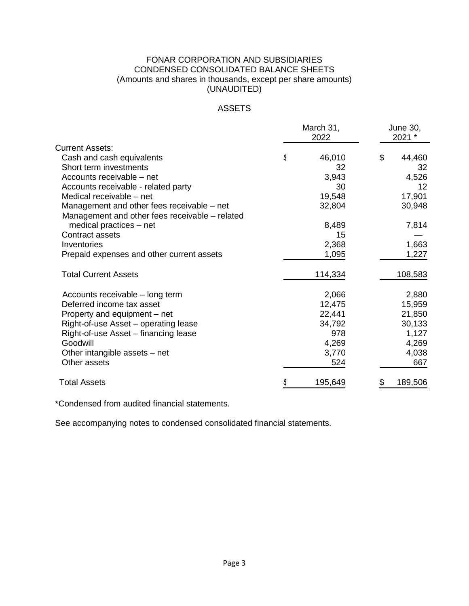# FONAR CORPORATION AND SUBSIDIARIES CONDENSED CONSOLIDATED BALANCE SHEETS (Amounts and shares in thousands, except per share amounts) (UNAUDITED)

# ASSETS

|                                                |   | March 31,<br>2022 | June 30,<br>2021 * |         |  |
|------------------------------------------------|---|-------------------|--------------------|---------|--|
| <b>Current Assets:</b>                         |   |                   |                    |         |  |
| Cash and cash equivalents                      | g | 46,010            | \$                 | 44,460  |  |
| Short term investments                         |   | 32                |                    | 32      |  |
| Accounts receivable – net                      |   | 3,943             |                    | 4,526   |  |
| Accounts receivable - related party            |   | 30                |                    | 12      |  |
| Medical receivable - net                       |   | 19,548            |                    | 17,901  |  |
| Management and other fees receivable - net     |   | 32,804            |                    | 30,948  |  |
| Management and other fees receivable – related |   |                   |                    |         |  |
| medical practices $-$ net                      |   | 8,489             |                    | 7,814   |  |
| <b>Contract assets</b>                         |   | 15                |                    |         |  |
| Inventories                                    |   | 2,368             |                    | 1,663   |  |
| Prepaid expenses and other current assets      |   | 1,095             |                    | 1,227   |  |
| <b>Total Current Assets</b>                    |   | 114,334           |                    | 108,583 |  |
| Accounts receivable - long term                |   | 2,066             |                    | 2,880   |  |
| Deferred income tax asset                      |   | 12,475            |                    | 15,959  |  |
| Property and equipment – net                   |   | 22,441            |                    | 21,850  |  |
| Right-of-use Asset – operating lease           |   | 34,792            |                    | 30,133  |  |
| Right-of-use Asset – financing lease           |   | 978               |                    | 1,127   |  |
| Goodwill                                       |   | 4,269             |                    | 4,269   |  |
| Other intangible assets – net                  |   | 3,770             |                    | 4,038   |  |
| Other assets                                   |   | 524               |                    | 667     |  |
| <b>Total Assets</b>                            |   | 195,649           |                    | 189,506 |  |

\*Condensed from audited financial statements.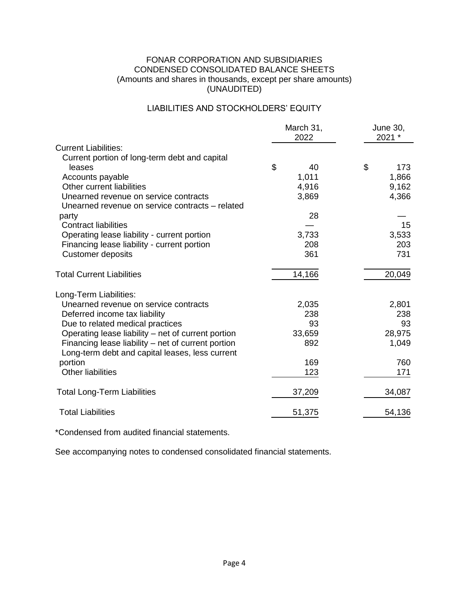# FONAR CORPORATION AND SUBSIDIARIES CONDENSED CONSOLIDATED BALANCE SHEETS (Amounts and shares in thousands, except per share amounts) (UNAUDITED)

# LIABILITIES AND STOCKHOLDERS' EQUITY

|                                                    | March 31,<br>2022 | June 30,<br>2021 * |  |  |
|----------------------------------------------------|-------------------|--------------------|--|--|
| <b>Current Liabilities:</b>                        |                   |                    |  |  |
| Current portion of long-term debt and capital      |                   |                    |  |  |
| leases                                             | \$<br>40          | \$<br>173          |  |  |
| Accounts payable                                   | 1,011             | 1,866              |  |  |
| Other current liabilities                          | 4,916             | 9,162              |  |  |
| Unearned revenue on service contracts              | 3,869             | 4,366              |  |  |
| Unearned revenue on service contracts – related    |                   |                    |  |  |
| party                                              | 28                |                    |  |  |
| <b>Contract liabilities</b>                        |                   | 15                 |  |  |
| Operating lease liability - current portion        | 3,733             | 3,533              |  |  |
| Financing lease liability - current portion        | 208               | 203                |  |  |
| <b>Customer deposits</b>                           | 361               | 731                |  |  |
| <b>Total Current Liabilities</b>                   | 14,166            | 20,049             |  |  |
|                                                    |                   |                    |  |  |
| Long-Term Liabilities:                             |                   |                    |  |  |
| Unearned revenue on service contracts              | 2,035             | 2,801              |  |  |
| Deferred income tax liability                      | 238               | 238                |  |  |
| Due to related medical practices                   | 93                | 93                 |  |  |
| Operating lease liability – net of current portion | 33,659            | 28,975             |  |  |
| Financing lease liability – net of current portion | 892               | 1,049              |  |  |
| Long-term debt and capital leases, less current    |                   |                    |  |  |
| portion                                            | 169               | 760                |  |  |
| <b>Other liabilities</b>                           | 123               | 171                |  |  |
| <b>Total Long-Term Liabilities</b>                 | 37,209            | 34,087             |  |  |
| <b>Total Liabilities</b>                           | 51,375            | 54,136             |  |  |

\*Condensed from audited financial statements.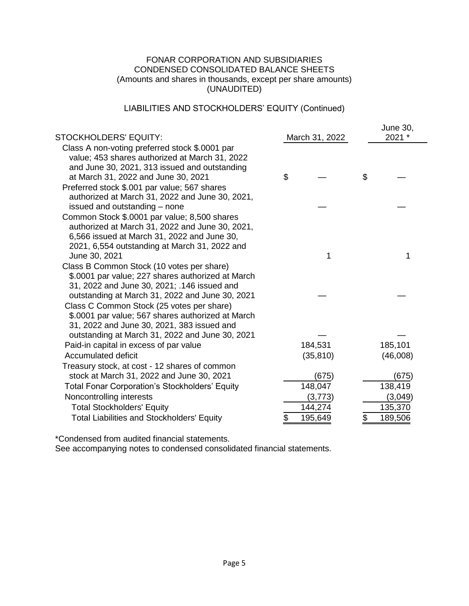# FONAR CORPORATION AND SUBSIDIARIES CONDENSED CONSOLIDATED BALANCE SHEETS (Amounts and shares in thousands, except per share amounts) (UNAUDITED)

# LIABILITIES AND STOCKHOLDERS' EQUITY (Continued)

| <b>STOCKHOLDERS' EQUITY:</b>                                                                                                                                                                                                     | March 31, 2022   | June 30,<br>2021 * |
|----------------------------------------------------------------------------------------------------------------------------------------------------------------------------------------------------------------------------------|------------------|--------------------|
| Class A non-voting preferred stock \$.0001 par<br>value; 453 shares authorized at March 31, 2022<br>and June 30, 2021, 313 issued and outstanding<br>at March 31, 2022 and June 30, 2021                                         | \$               | \$                 |
| Preferred stock \$.001 par value; 567 shares<br>authorized at March 31, 2022 and June 30, 2021,                                                                                                                                  |                  |                    |
| issued and outstanding – none<br>Common Stock \$.0001 par value; 8,500 shares<br>authorized at March 31, 2022 and June 30, 2021,<br>6,566 issued at March 31, 2022 and June 30,<br>2021, 6,554 outstanding at March 31, 2022 and |                  |                    |
| June 30, 2021                                                                                                                                                                                                                    | 1                | 1                  |
| Class B Common Stock (10 votes per share)<br>\$.0001 par value; 227 shares authorized at March<br>31, 2022 and June 30, 2021; .146 issued and                                                                                    |                  |                    |
| outstanding at March 31, 2022 and June 30, 2021<br>Class C Common Stock (25 votes per share)<br>\$.0001 par value; 567 shares authorized at March<br>31, 2022 and June 30, 2021, 383 issued and                                  |                  |                    |
| outstanding at March 31, 2022 and June 30, 2021                                                                                                                                                                                  |                  |                    |
| Paid-in capital in excess of par value<br><b>Accumulated deficit</b>                                                                                                                                                             | 184,531          | 185,101            |
| Treasury stock, at cost - 12 shares of common                                                                                                                                                                                    | (35, 810)        | (46,008)           |
| stock at March 31, 2022 and June 30, 2021<br><b>Total Fonar Corporation's Stockholders' Equity</b>                                                                                                                               | (675)<br>148,047 | (675)<br>138,419   |
| Noncontrolling interests                                                                                                                                                                                                         | (3,773)          | (3,049)            |
| <b>Total Stockholders' Equity</b>                                                                                                                                                                                                | 144,274          | 135,370            |
| <b>Total Liabilities and Stockholders' Equity</b>                                                                                                                                                                                | 195,649<br>\$    | 189,506<br>\$      |
|                                                                                                                                                                                                                                  |                  |                    |

\*Condensed from audited financial statements.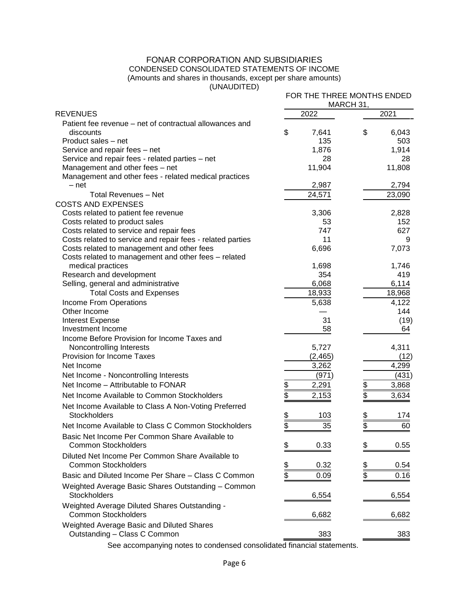# FONAR CORPORATION AND SUBSIDIARIES CONDENSED CONSOLIDATED STATEMENTS OF INCOME (Amounts and shares in thousands, except per share amounts)

(UNAUDITED)

| ,,,,,,,,,,,,,,,                                                                          |                       | FOR THE THREE MONTHS ENDED<br>MARCH 31, |  |  |  |  |  |
|------------------------------------------------------------------------------------------|-----------------------|-----------------------------------------|--|--|--|--|--|
| <b>REVENUES</b>                                                                          | 2022                  | 2021                                    |  |  |  |  |  |
| Patient fee revenue – net of contractual allowances and<br>discounts                     | \$<br>7,641           | \$<br>6,043                             |  |  |  |  |  |
| Product sales - net                                                                      | 135                   | 503                                     |  |  |  |  |  |
| Service and repair fees - net                                                            | 1,876                 | 1,914                                   |  |  |  |  |  |
| Service and repair fees - related parties - net                                          | 28                    | 28                                      |  |  |  |  |  |
| Management and other fees - net<br>Management and other fees - related medical practices | 11,904                | 11,808                                  |  |  |  |  |  |
| - net                                                                                    | 2,987                 | 2,794                                   |  |  |  |  |  |
| <b>Total Revenues - Net</b>                                                              | $\overline{24,571}$   | 23,090                                  |  |  |  |  |  |
| <b>COSTS AND EXPENSES</b>                                                                |                       |                                         |  |  |  |  |  |
| Costs related to patient fee revenue                                                     | 3,306                 | 2,828                                   |  |  |  |  |  |
| Costs related to product sales                                                           | 53                    | 152                                     |  |  |  |  |  |
| Costs related to service and repair fees                                                 | 747                   | 627                                     |  |  |  |  |  |
| Costs related to service and repair fees - related parties                               | 11                    | 9                                       |  |  |  |  |  |
| Costs related to management and other fees                                               | 6,696                 | 7,073                                   |  |  |  |  |  |
| Costs related to management and other fees - related                                     |                       |                                         |  |  |  |  |  |
| medical practices                                                                        | 1,698                 | 1,746                                   |  |  |  |  |  |
| Research and development                                                                 | 354<br>6,068          | 419<br>6,114                            |  |  |  |  |  |
| Selling, general and administrative                                                      | 18,933                |                                         |  |  |  |  |  |
| <b>Total Costs and Expenses</b><br>Income From Operations                                |                       | 18,968<br>4,122                         |  |  |  |  |  |
| Other Income                                                                             | 5,638                 | 144                                     |  |  |  |  |  |
| <b>Interest Expense</b>                                                                  | 31                    | (19)                                    |  |  |  |  |  |
| Investment Income                                                                        | 58                    | 64                                      |  |  |  |  |  |
| Income Before Provision for Income Taxes and                                             |                       |                                         |  |  |  |  |  |
| Noncontrolling Interests                                                                 | 5,727                 | 4,311                                   |  |  |  |  |  |
| Provision for Income Taxes                                                               | (2, 465)              | (12)                                    |  |  |  |  |  |
| Net Income                                                                               | 3,262                 | 4,299                                   |  |  |  |  |  |
| Net Income - Noncontrolling Interests                                                    | (971)                 | (431)                                   |  |  |  |  |  |
| Net Income - Attributable to FONAR                                                       | \$<br>2,291           | \$<br>3,868                             |  |  |  |  |  |
| Net Income Available to Common Stockholders                                              | \$<br>2,153           | \$<br>3,634                             |  |  |  |  |  |
| Net Income Available to Class A Non-Voting Preferred                                     |                       |                                         |  |  |  |  |  |
| <b>Stockholders</b>                                                                      | \$<br>103             | 174                                     |  |  |  |  |  |
| Net Income Available to Class C Common Stockholders                                      | $\overline{\$}$<br>35 | <u>\$</u><br>\$<br>60                   |  |  |  |  |  |
| Basic Net Income Per Common Share Available to                                           |                       |                                         |  |  |  |  |  |
| <b>Common Stockholders</b>                                                               | $\frac{1}{2}$<br>0.33 | \$<br>0.55                              |  |  |  |  |  |
| Diluted Net Income Per Common Share Available to<br><b>Common Stockholders</b>           | 0.32                  | 0.54                                    |  |  |  |  |  |
| Basic and Diluted Income Per Share - Class C Common                                      | \$<br>\$<br>0.09      | $\frac{3}{3}$<br>0.16                   |  |  |  |  |  |
| Weighted Average Basic Shares Outstanding - Common                                       |                       |                                         |  |  |  |  |  |
| Stockholders                                                                             | 6,554                 | 6,554                                   |  |  |  |  |  |
| Weighted Average Diluted Shares Outstanding -<br><b>Common Stockholders</b>              | 6,682                 | 6,682                                   |  |  |  |  |  |
| Weighted Average Basic and Diluted Shares                                                |                       |                                         |  |  |  |  |  |
| Outstanding - Class C Common                                                             | 383                   | 383                                     |  |  |  |  |  |
|                                                                                          |                       |                                         |  |  |  |  |  |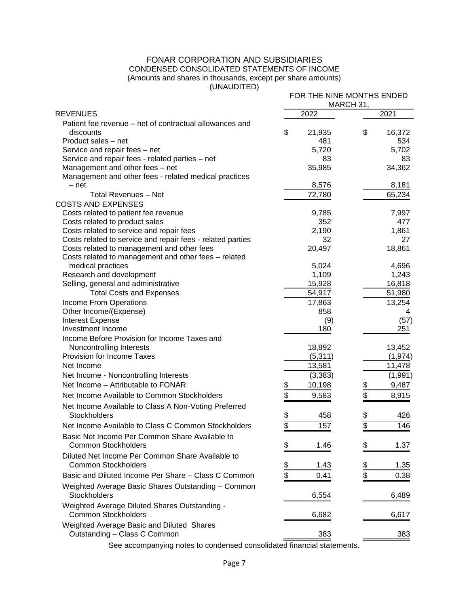# FONAR CORPORATION AND SUBSIDIARIES CONDENSED CONSOLIDATED STATEMENTS OF INCOME (Amounts and shares in thousands, except per share amounts)

(UNAUDITED)

| U                                                                                                                                                                                                                                                           |                                              | FOR THE NINE MONTHS ENDED<br>MARCH 31,       |
|-------------------------------------------------------------------------------------------------------------------------------------------------------------------------------------------------------------------------------------------------------------|----------------------------------------------|----------------------------------------------|
| <b>REVENUES</b>                                                                                                                                                                                                                                             | 2022                                         | 2021                                         |
| Patient fee revenue – net of contractual allowances and<br>discounts<br>Product sales - net<br>Service and repair fees - net<br>Service and repair fees - related parties - net<br>Management and other fees - net                                          | \$<br>21,935<br>481<br>5,720<br>83<br>35,985 | \$<br>16,372<br>534<br>5,702<br>83<br>34,362 |
| Management and other fees - related medical practices                                                                                                                                                                                                       |                                              |                                              |
| - net                                                                                                                                                                                                                                                       | 8,576                                        | 8,181                                        |
| <b>Total Revenues - Net</b>                                                                                                                                                                                                                                 | 72,780                                       | 65,234                                       |
| <b>COSTS AND EXPENSES</b><br>Costs related to patient fee revenue<br>Costs related to product sales<br>Costs related to service and repair fees<br>Costs related to service and repair fees - related parties<br>Costs related to management and other fees | 9,785<br>352<br>2,190<br>32<br>20,497        | 7,997<br>477<br>1,861<br>27<br>18,861        |
| Costs related to management and other fees - related<br>medical practices<br>Research and development                                                                                                                                                       | 5,024<br>1,109                               | 4,696<br>1,243                               |
| Selling, general and administrative                                                                                                                                                                                                                         | 15,928                                       | 16,818                                       |
| <b>Total Costs and Expenses</b>                                                                                                                                                                                                                             | 54,917                                       | 51,980                                       |
| Income From Operations                                                                                                                                                                                                                                      | 17,863                                       | 13,254                                       |
| Other Income/(Expense)                                                                                                                                                                                                                                      | 858                                          | 4                                            |
| <b>Interest Expense</b>                                                                                                                                                                                                                                     | (9)                                          | (57)                                         |
| Investment Income                                                                                                                                                                                                                                           | 180                                          | 251                                          |
| Income Before Provision for Income Taxes and<br>Noncontrolling Interests<br>Provision for Income Taxes<br>Net Income<br>Net Income - Noncontrolling Interests                                                                                               | 18,892<br>(5, 311)<br>13,581<br>(3, 383)     | 13,452<br>(1, 974)<br>11,478<br>(1,991)      |
| Net Income - Attributable to FONAR                                                                                                                                                                                                                          | $\frac{1}{2}$<br>10,198                      | \$<br>9,487                                  |
| Net Income Available to Common Stockholders<br>Net Income Available to Class A Non-Voting Preferred                                                                                                                                                         | $\frac{1}{2}$<br>9,583                       | \$<br>8,915                                  |
| Stockholders                                                                                                                                                                                                                                                | <u>\$</u><br>\$<br>458                       | \$<br>426                                    |
| Net Income Available to Class C Common Stockholders                                                                                                                                                                                                         | 157                                          | 146                                          |
| Basic Net Income Per Common Share Available to<br><b>Common Stockholders</b>                                                                                                                                                                                | \$<br>1.46                                   | \$<br>1.37                                   |
| Diluted Net Income Per Common Share Available to<br><b>Common Stockholders</b>                                                                                                                                                                              | \$<br>\$<br>1.43                             | $\frac{3}{5}$<br>1.35                        |
| Basic and Diluted Income Per Share - Class C Common                                                                                                                                                                                                         | 0.41                                         | \$<br>0.38                                   |
| Weighted Average Basic Shares Outstanding - Common<br><b>Stockholders</b>                                                                                                                                                                                   | 6,554                                        | 6,489                                        |
| Weighted Average Diluted Shares Outstanding -<br><b>Common Stockholders</b>                                                                                                                                                                                 | 6,682                                        | 6,617                                        |
| Weighted Average Basic and Diluted Shares<br>Outstanding - Class C Common                                                                                                                                                                                   | 383                                          | 383                                          |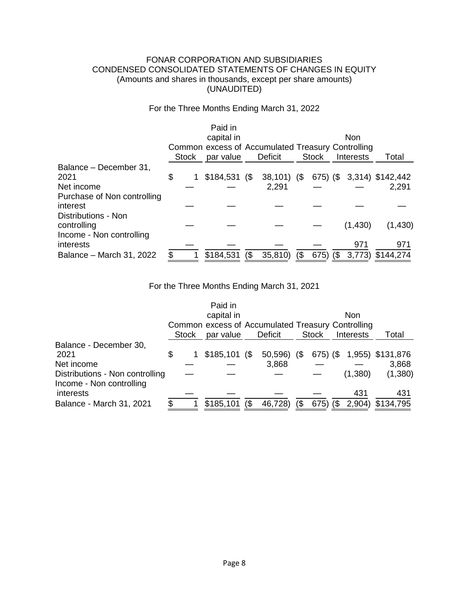# FONAR CORPORATION AND SUBSIDIARIES CONDENSED CONSOLIDATED STATEMENTS OF CHANGES IN EQUITY (Amounts and shares in thousands, except per share amounts) (UNAUDITED)

For the Three Months Ending March 31, 2022

|                             |              | Paid in                                           |     |               |     |              |     |                  |                  |
|-----------------------------|--------------|---------------------------------------------------|-----|---------------|-----|--------------|-----|------------------|------------------|
|                             |              | capital in                                        |     |               |     |              |     | <b>Non</b>       |                  |
|                             |              | Common excess of Accumulated Treasury Controlling |     |               |     |              |     |                  |                  |
|                             | <b>Stock</b> | par value                                         |     | Deficit       |     | <b>Stock</b> |     | <b>Interests</b> | Total            |
| Balance - December 31,      |              |                                                   |     |               |     |              |     |                  |                  |
| 2021                        | \$           | $$184,531$ (\$)                                   |     | $38,101)$ (\$ |     | 675) (\$     |     |                  | 3,314) \$142,442 |
| Net income                  |              |                                                   |     | 2,291         |     |              |     |                  | 2,291            |
| Purchase of Non controlling |              |                                                   |     |               |     |              |     |                  |                  |
| interest                    |              |                                                   |     |               |     |              |     |                  |                  |
| Distributions - Non         |              |                                                   |     |               |     |              |     |                  |                  |
| controlling                 |              |                                                   |     |               |     |              |     | (1,430)          | (1,430)          |
| Income - Non controlling    |              |                                                   |     |               |     |              |     |                  |                  |
| interests                   |              |                                                   |     |               |     |              |     | 971              | 971              |
| Balance - March 31, 2022    |              | \$184,531                                         | (\$ | 35,810)       | (\$ | 675)         | (\$ | 3,773)           | \$144,274        |

For the Three Months Ending March 31, 2021

|                                 |       | Paid in                                           |     |         |     |              |     |                  |                  |
|---------------------------------|-------|---------------------------------------------------|-----|---------|-----|--------------|-----|------------------|------------------|
|                                 |       | capital in                                        |     |         |     |              |     | Non              |                  |
|                                 |       | Common excess of Accumulated Treasury Controlling |     |         |     |              |     |                  |                  |
|                                 | Stock | par value                                         |     | Deficit |     | <b>Stock</b> |     | <b>Interests</b> | Total            |
| Balance - December 30,          |       |                                                   |     |         |     |              |     |                  |                  |
| 2021                            | \$    | $$185,101$ (\$                                    |     | 50,596) | (S) | 675) (\$     |     |                  | 1,955) \$131,876 |
| Net income                      |       |                                                   |     | 3,868   |     |              |     |                  | 3,868            |
| Distributions - Non controlling |       |                                                   |     |         |     |              |     | (1,380)          | (1,380)          |
| Income - Non controlling        |       |                                                   |     |         |     |              |     |                  |                  |
| interests                       |       |                                                   |     |         |     |              |     | 431              | 431              |
| Balance - March 31, 2021        |       | \$185,101                                         | (\$ | 46,728) | (\$ | 675)         | (\$ | 2,904)           | \$134,795        |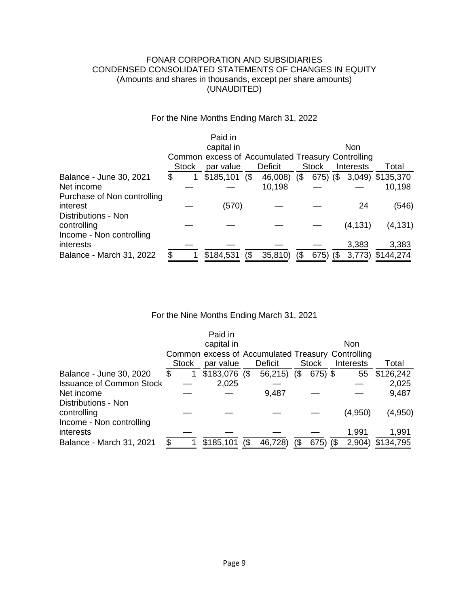# FONAR CORPORATION AND SUBSIDIARIES CONDENSED CONSOLIDATED STATEMENTS OF CHANGES IN EQUITY (Amounts and shares in thousands, except per share amounts) (UNAUDITED)

# For the Nine Months Ending March 31, 2022

|                             |              | Paid in                                           |        |                |            |              |     |                  |                  |
|-----------------------------|--------------|---------------------------------------------------|--------|----------------|------------|--------------|-----|------------------|------------------|
|                             |              | capital in                                        |        |                |            |              |     | <b>Non</b>       |                  |
|                             |              | Common excess of Accumulated Treasury Controlling |        |                |            |              |     |                  |                  |
|                             | <b>Stock</b> | par value                                         |        | <b>Deficit</b> |            | <b>Stock</b> |     | <b>Interests</b> | Total            |
| Balance - June 30, 2021     |              | \$185,101                                         | $($ \$ | 46,008)        | $\sqrt{3}$ | $675)$ (\$   |     |                  | 3,049) \$135,370 |
| Net income                  |              |                                                   |        | 10,198         |            |              |     |                  | 10,198           |
| Purchase of Non controlling |              |                                                   |        |                |            |              |     |                  |                  |
| interest                    |              | (570)                                             |        |                |            |              |     | 24               | (546)            |
| Distributions - Non         |              |                                                   |        |                |            |              |     |                  |                  |
| controlling                 |              |                                                   |        |                |            |              |     | (4, 131)         | (4, 131)         |
| Income - Non controlling    |              |                                                   |        |                |            |              |     |                  |                  |
| interests                   |              |                                                   |        |                |            |              |     | 3,383            | 3,383            |
| Balance - March 31, 2022    |              | \$184,531                                         | $($ \$ | 35,810)        |            | 675)         | (\$ | 3,773)           | \$144,274        |

# For the Nine Months Ending March 31, 2021

|                                                                |   |              | Paid in                                           |     |         |        |              |                 |                    |
|----------------------------------------------------------------|---|--------------|---------------------------------------------------|-----|---------|--------|--------------|-----------------|--------------------|
|                                                                |   |              | capital in                                        |     |         |        |              | <b>Non</b>      |                    |
|                                                                |   |              | Common excess of Accumulated Treasury Controlling |     |         |        |              |                 |                    |
|                                                                |   | <b>Stock</b> | par value                                         |     | Deficit |        | <b>Stock</b> | Interests       | Total              |
| Balance - June 30, 2020                                        | S |              | $$183,076$ (\$                                    |     | 56,215) | $($ \$ | $675$ ) \$   | 55              | \$126,242          |
| <b>Issuance of Common Stock</b>                                |   |              | 2,025                                             |     |         |        |              |                 | 2,025              |
| Net income                                                     |   |              |                                                   |     | 9,487   |        |              |                 | 9,487              |
| Distributions - Non<br>controlling<br>Income - Non controlling |   |              |                                                   |     |         |        |              | (4,950)         | (4,950)            |
| interests<br>Balance - March 31, 2021                          |   |              | \$185,101                                         | (\$ | 46,728) | ß)     | $675)$ (\$   | 1,991<br>2,904) | 1,991<br>\$134,795 |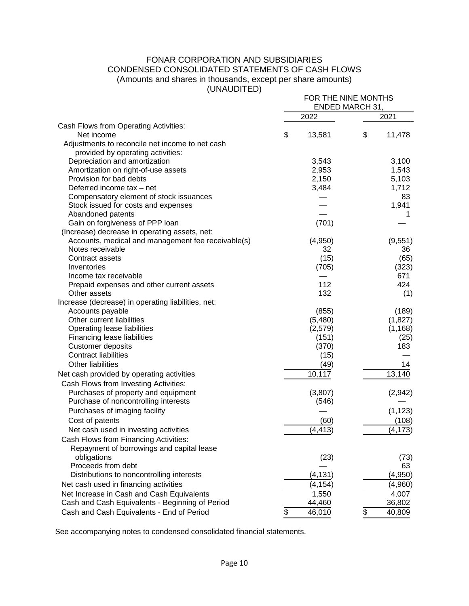#### FONAR CORPORATION AND SUBSIDIARIES CONDENSED CONSOLIDATED STATEMENTS OF CASH FLOWS (Amounts and shares in thousands, except per share amounts) (UNAUDITED) FOR THE NINE MONTHS

|                                                    | FOR THE NINE MONTHS<br>ENDED MARCH 31, |          |    |          |  |
|----------------------------------------------------|----------------------------------------|----------|----|----------|--|
|                                                    |                                        | 2022     |    | 2021     |  |
| Cash Flows from Operating Activities:              |                                        |          |    |          |  |
| Net income                                         | \$                                     | 13,581   | \$ | 11,478   |  |
| Adjustments to reconcile net income to net cash    |                                        |          |    |          |  |
| provided by operating activities:                  |                                        |          |    |          |  |
| Depreciation and amortization                      |                                        | 3,543    |    | 3,100    |  |
| Amortization on right-of-use assets                |                                        | 2,953    |    | 1,543    |  |
| Provision for bad debts                            |                                        | 2,150    |    | 5,103    |  |
| Deferred income tax - net                          |                                        | 3,484    |    | 1,712    |  |
| Compensatory element of stock issuances            |                                        |          |    | 83       |  |
| Stock issued for costs and expenses                |                                        |          |    | 1,941    |  |
| Abandoned patents                                  |                                        |          |    | 1        |  |
| Gain on forgiveness of PPP loan                    |                                        | (701)    |    |          |  |
| (Increase) decrease in operating assets, net:      |                                        |          |    |          |  |
| Accounts, medical and management fee receivable(s) |                                        | (4,950)  |    | (9,551)  |  |
| Notes receivable                                   |                                        | 32       |    | 36       |  |
| Contract assets                                    |                                        | (15)     |    | (65)     |  |
| Inventories                                        |                                        | (705)    |    | (323)    |  |
| Income tax receivable                              |                                        |          |    | 671      |  |
| Prepaid expenses and other current assets          |                                        | 112      |    | 424      |  |
| Other assets                                       |                                        | 132      |    | (1)      |  |
| Increase (decrease) in operating liabilities, net: |                                        |          |    |          |  |
| Accounts payable                                   |                                        | (855)    |    | (189)    |  |
| Other current liabilities                          |                                        | (5,480)  |    | (1,827)  |  |
| Operating lease liabilities                        |                                        | (2,579)  |    | (1, 168) |  |
| Financing lease liabilities                        |                                        | (151)    |    | (25)     |  |
| <b>Customer deposits</b>                           |                                        | (370)    |    | 183      |  |
| <b>Contract liabilities</b>                        |                                        | (15)     |    |          |  |
| <b>Other liabilities</b>                           |                                        | (49)     |    | 14       |  |
|                                                    |                                        |          |    |          |  |
| Net cash provided by operating activities          |                                        | 10,117   |    | 13,140   |  |
| Cash Flows from Investing Activities:              |                                        |          |    |          |  |
| Purchases of property and equipment                |                                        | (3,807)  |    | (2,942)  |  |
| Purchase of noncontrolling interests               |                                        | (546)    |    |          |  |
| Purchases of imaging facility                      |                                        |          |    | (1, 123) |  |
| Cost of patents                                    |                                        | (60)     |    | (108)    |  |
| Net cash used in investing activities              |                                        | (4, 413) |    | (4, 173) |  |
| Cash Flows from Financing Activities:              |                                        |          |    |          |  |
| Repayment of borrowings and capital lease          |                                        |          |    |          |  |
| obligations                                        |                                        | (23)     |    | (73)     |  |
| Proceeds from debt                                 |                                        |          |    | 63       |  |
| Distributions to noncontrolling interests          |                                        | (4, 131) |    | (4,950)  |  |
| Net cash used in financing activities              |                                        | (4, 154) |    | (4,960)  |  |
| Net Increase in Cash and Cash Equivalents          |                                        | 1,550    |    | 4,007    |  |
| Cash and Cash Equivalents - Beginning of Period    |                                        | 44,460   |    | 36,802   |  |
| Cash and Cash Equivalents - End of Period          | \$                                     | 46,010   | \$ | 40,809   |  |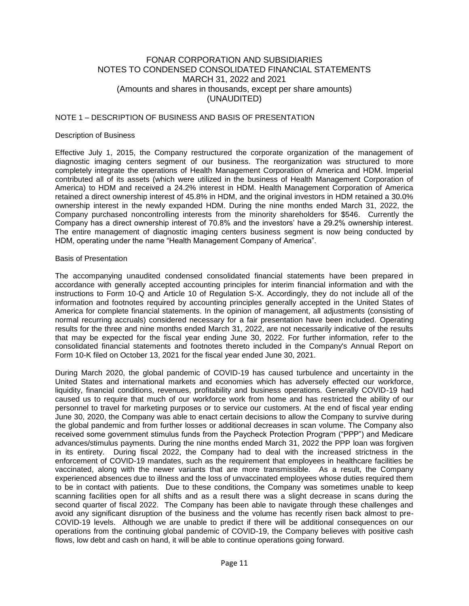#### NOTE 1 – DESCRIPTION OF BUSINESS AND BASIS OF PRESENTATION

#### Description of Business

Effective July 1, 2015, the Company restructured the corporate organization of the management of diagnostic imaging centers segment of our business. The reorganization was structured to more completely integrate the operations of Health Management Corporation of America and HDM. Imperial contributed all of its assets (which were utilized in the business of Health Management Corporation of America) to HDM and received a 24.2% interest in HDM. Health Management Corporation of America retained a direct ownership interest of 45.8% in HDM, and the original investors in HDM retained a 30.0% ownership interest in the newly expanded HDM. During the nine months ended March 31, 2022, the Company purchased noncontrolling interests from the minority shareholders for \$546. Currently the Company has a direct ownership interest of 70.8% and the investors' have a 29.2% ownership interest. The entire management of diagnostic imaging centers business segment is now being conducted by HDM, operating under the name "Health Management Company of America".

#### Basis of Presentation

The accompanying unaudited condensed consolidated financial statements have been prepared in accordance with generally accepted accounting principles for interim financial information and with the instructions to Form 10-Q and Article 10 of Regulation S-X. Accordingly, they do not include all of the information and footnotes required by accounting principles generally accepted in the United States of America for complete financial statements. In the opinion of management, all adjustments (consisting of normal recurring accruals) considered necessary for a fair presentation have been included. Operating results for the three and nine months ended March 31, 2022, are not necessarily indicative of the results that may be expected for the fiscal year ending June 30, 2022. For further information, refer to the consolidated financial statements and footnotes thereto included in the Company's Annual Report on Form 10-K filed on October 13, 2021 for the fiscal year ended June 30, 2021.

During March 2020, the global pandemic of COVID-19 has caused turbulence and uncertainty in the United States and international markets and economies which has adversely effected our workforce, liquidity, financial conditions, revenues, profitability and business operations. Generally COVID-19 had caused us to require that much of our workforce work from home and has restricted the ability of our personnel to travel for marketing purposes or to service our customers. At the end of fiscal year ending June 30, 2020, the Company was able to enact certain decisions to allow the Company to survive during the global pandemic and from further losses or additional decreases in scan volume. The Company also received some government stimulus funds from the Paycheck Protection Program ("PPP") and Medicare advances/stimulus payments. During the nine months ended March 31, 2022 the PPP loan was forgiven in its entirety. During fiscal 2022, the Company had to deal with the increased strictness in the enforcement of COVID-19 mandates, such as the requirement that employees in healthcare facilities be vaccinated, along with the newer variants that are more transmissible. As a result, the Company experienced absences due to illness and the loss of unvaccinated employees whose duties required them to be in contact with patients. Due to these conditions, the Company was sometimes unable to keep scanning facilities open for all shifts and as a result there was a slight decrease in scans during the second quarter of fiscal 2022. The Company has been able to navigate through these challenges and avoid any significant disruption of the business and the volume has recently risen back almost to pre-COVID-19 levels. Although we are unable to predict if there will be additional consequences on our operations from the continuing global pandemic of COVID-19, the Company believes with positive cash flows, low debt and cash on hand, it will be able to continue operations going forward.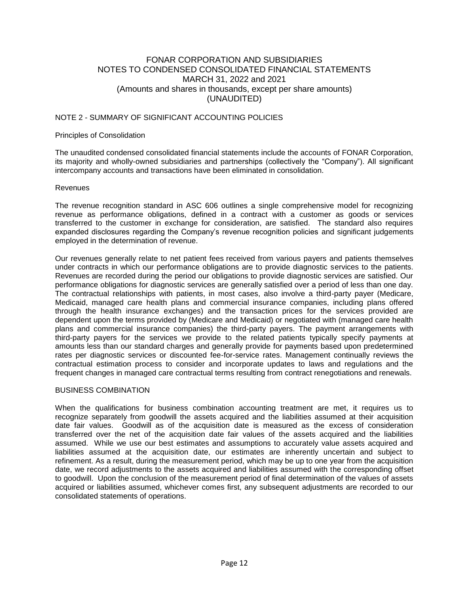#### NOTE 2 - SUMMARY OF SIGNIFICANT ACCOUNTING POLICIES

#### Principles of Consolidation

The unaudited condensed consolidated financial statements include the accounts of FONAR Corporation, its majority and wholly-owned subsidiaries and partnerships (collectively the "Company"). All significant intercompany accounts and transactions have been eliminated in consolidation.

#### Revenues

The revenue recognition standard in ASC 606 outlines a single comprehensive model for recognizing revenue as performance obligations, defined in a contract with a customer as goods or services transferred to the customer in exchange for consideration, are satisfied. The standard also requires expanded disclosures regarding the Company's revenue recognition policies and significant judgements employed in the determination of revenue.

Our revenues generally relate to net patient fees received from various payers and patients themselves under contracts in which our performance obligations are to provide diagnostic services to the patients. Revenues are recorded during the period our obligations to provide diagnostic services are satisfied. Our performance obligations for diagnostic services are generally satisfied over a period of less than one day. The contractual relationships with patients, in most cases, also involve a third-party payer (Medicare, Medicaid, managed care health plans and commercial insurance companies, including plans offered through the health insurance exchanges) and the transaction prices for the services provided are dependent upon the terms provided by (Medicare and Medicaid) or negotiated with (managed care health plans and commercial insurance companies) the third-party payers. The payment arrangements with third-party payers for the services we provide to the related patients typically specify payments at amounts less than our standard charges and generally provide for payments based upon predetermined rates per diagnostic services or discounted fee-for-service rates. Management continually reviews the contractual estimation process to consider and incorporate updates to laws and regulations and the frequent changes in managed care contractual terms resulting from contract renegotiations and renewals.

#### BUSINESS COMBINATION

When the qualifications for business combination accounting treatment are met, it requires us to recognize separately from goodwill the assets acquired and the liabilities assumed at their acquisition date fair values. Goodwill as of the acquisition date is measured as the excess of consideration transferred over the net of the acquisition date fair values of the assets acquired and the liabilities assumed. While we use our best estimates and assumptions to accurately value assets acquired and liabilities assumed at the acquisition date, our estimates are inherently uncertain and subject to refinement. As a result, during the measurement period, which may be up to one year from the acquisition date, we record adjustments to the assets acquired and liabilities assumed with the corresponding offset to goodwill. Upon the conclusion of the measurement period of final determination of the values of assets acquired or liabilities assumed, whichever comes first, any subsequent adjustments are recorded to our consolidated statements of operations.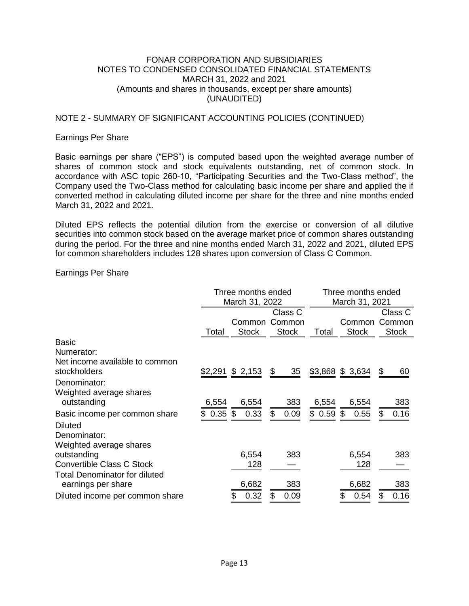# NOTE 2 - SUMMARY OF SIGNIFICANT ACCOUNTING POLICIES (CONTINUED)

## Earnings Per Share

Basic earnings per share ("EPS") is computed based upon the weighted average number of shares of common stock and stock equivalents outstanding, net of common stock. In accordance with ASC topic 260-10, "Participating Securities and the Two-Class method", the Company used the Two-Class method for calculating basic income per share and applied the if converted method in calculating diluted income per share for the three and nine months ended March 31, 2022 and 2021.

Diluted EPS reflects the potential dilution from the exercise or conversion of all dilutive securities into common stock based on the average market price of common shares outstanding during the period. For the three and nine months ended March 31, 2022 and 2021, diluted EPS for common shareholders includes 128 shares upon conversion of Class C Common.

## Earnings Per Share

|                                                            | Three months ended<br>March 31, 2022 |                        |                                   | Three months ended<br>March 31, 2021 |                        |                                   |
|------------------------------------------------------------|--------------------------------------|------------------------|-----------------------------------|--------------------------------------|------------------------|-----------------------------------|
|                                                            | Total                                | Common<br><b>Stock</b> | Class C<br>Common<br><b>Stock</b> | Total                                | Common<br><b>Stock</b> | Class C<br>Common<br><b>Stock</b> |
| <b>Basic</b>                                               |                                      |                        |                                   |                                      |                        |                                   |
| Numerator:                                                 |                                      |                        |                                   |                                      |                        |                                   |
| Net income available to common<br>stockholders             | \$2,291                              | \$2,153                | 35<br>\$                          |                                      | \$3,868 \$ 3,634       | \$<br>60                          |
| Denominator:                                               |                                      |                        |                                   |                                      |                        |                                   |
| Weighted average shares<br>outstanding                     | 6,554                                | 6,554                  | 383                               | 6,554                                | 6,554                  | 383                               |
| Basic income per common share                              | 0.35<br>\$                           | \$<br>0.33             | \$<br>0.09                        | $$0.59$ \$                           | 0.55                   | 0.16<br>\$                        |
| <b>Diluted</b>                                             |                                      |                        |                                   |                                      |                        |                                   |
| Denominator:                                               |                                      |                        |                                   |                                      |                        |                                   |
| Weighted average shares                                    |                                      |                        |                                   |                                      |                        |                                   |
| outstanding                                                |                                      | 6,554                  | 383                               |                                      | 6,554                  | 383                               |
| Convertible Class C Stock                                  |                                      | 128                    |                                   |                                      | 128                    |                                   |
| <b>Total Denominator for diluted</b><br>earnings per share |                                      | 6,682                  | 383                               |                                      | 6,682                  | 383                               |
| Diluted income per common share                            |                                      | 0.32<br>\$             | 0.09<br>S                         |                                      | \$<br>0.54             | 0.16<br>\$                        |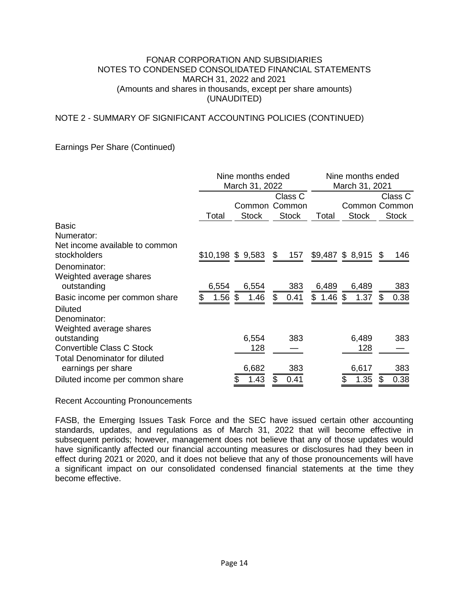# NOTE 2 - SUMMARY OF SIGNIFICANT ACCOUNTING POLICIES (CONTINUED)

# Earnings Per Share (Continued)

|                                                            |                 | Nine months ended<br>March 31, 2022 | Nine months ended<br>March 31, 2021 |            |                   |                                          |
|------------------------------------------------------------|-----------------|-------------------------------------|-------------------------------------|------------|-------------------|------------------------------------------|
|                                                            | Total           | Common<br><b>Stock</b>              | Class C<br>Common<br><b>Stock</b>   | Total      | <b>Stock</b>      | Class C<br>Common Common<br><b>Stock</b> |
| <b>Basic</b><br>Numerator:                                 |                 |                                     |                                     |            |                   |                                          |
| Net income available to common<br>stockholders             |                 | $$10,198$ \$ 9,583                  | \$<br>157                           |            | $$9,487$ \$ 8,915 | \$<br>146                                |
| Denominator:<br>Weighted average shares<br>outstanding     | 6,554           | 6,554                               | 383                                 | 6,489      | 6,489             | 383                                      |
| Basic income per common share<br><b>Diluted</b>            | $1.56$ \$<br>\$ | 1.46                                | \$<br>0.41                          | $$1.46$ \$ | 1.37              | 0.38<br>\$                               |
| Denominator:<br>Weighted average shares                    |                 |                                     |                                     |            |                   |                                          |
| outstanding<br>Convertible Class C Stock                   |                 | 6,554<br>128                        | 383                                 |            | 6,489<br>128      | 383                                      |
| <b>Total Denominator for diluted</b><br>earnings per share |                 | 6,682                               | 383                                 |            | 6,617             | 383                                      |
| Diluted income per common share                            |                 | 1.43                                | 0.41                                |            | 1.35<br>\$        | 0.38                                     |

Recent Accounting Pronouncements

FASB, the Emerging Issues Task Force and the SEC have issued certain other accounting standards, updates, and regulations as of March 31, 2022 that will become effective in subsequent periods; however, management does not believe that any of those updates would have significantly affected our financial accounting measures or disclosures had they been in effect during 2021 or 2020, and it does not believe that any of those pronouncements will have a significant impact on our consolidated condensed financial statements at the time they become effective.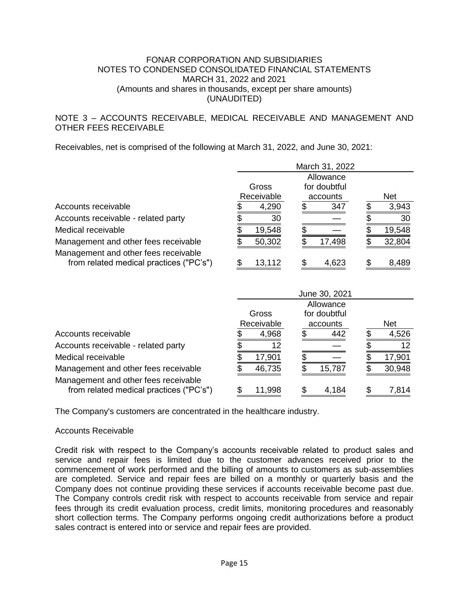# NOTE 3 – ACCOUNTS RECEIVABLE, MEDICAL RECEIVABLE AND MANAGEMENT AND OTHER FEES RECEIVABLE

Receivables, net is comprised of the following at March 31, 2022, and June 30, 2021:

|                                         |            | March 31, 2022  |            |
|-----------------------------------------|------------|-----------------|------------|
|                                         |            | Allowance       |            |
|                                         | Gross      | for doubtful    |            |
|                                         | Receivable | accounts        | <b>Net</b> |
| Accounts receivable                     | 4,290      | 347             | 3,943      |
| Accounts receivable - related party     | 30         |                 | 30         |
| Medical receivable                      | 19,548     |                 | 19,548     |
| Management and other fees receivable    | 50,302     | 17,498          | 32,804     |
| Management and other fees receivable    |            |                 |            |
| from related medical practices ("PC's") | 13,112     | 4,623           | 8,489      |
|                                         |            |                 |            |
|                                         |            | $1.22220$ 00.04 |            |

|                                                                                 |            | June 30, 2021 |            |
|---------------------------------------------------------------------------------|------------|---------------|------------|
|                                                                                 |            | Allowance     |            |
|                                                                                 | Gross      | for doubtful  |            |
|                                                                                 | Receivable | accounts      | <b>Net</b> |
| Accounts receivable                                                             | 4,968      | 442           | 4,526      |
| Accounts receivable - related party                                             | 12         |               | 12         |
| Medical receivable                                                              | 17,901     |               | 17,901     |
| Management and other fees receivable                                            | 46,735     | 15,787        | 30,948     |
| Management and other fees receivable<br>from related medical practices ("PC's") | 11,998     | 4,184         | 7,814      |

The Company's customers are concentrated in the healthcare industry.

#### Accounts Receivable

Credit risk with respect to the Company's accounts receivable related to product sales and service and repair fees is limited due to the customer advances received prior to the commencement of work performed and the billing of amounts to customers as sub-assemblies are completed. Service and repair fees are billed on a monthly or quarterly basis and the Company does not continue providing these services if accounts receivable become past due. The Company controls credit risk with respect to accounts receivable from service and repair fees through its credit evaluation process, credit limits, monitoring procedures and reasonably short collection terms. The Company performs ongoing credit authorizations before a product sales contract is entered into or service and repair fees are provided.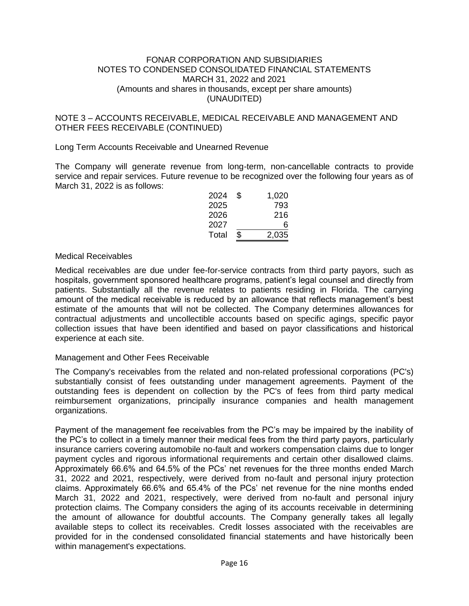# NOTE 3 – ACCOUNTS RECEIVABLE, MEDICAL RECEIVABLE AND MANAGEMENT AND OTHER FEES RECEIVABLE (CONTINUED)

## Long Term Accounts Receivable and Unearned Revenue

The Company will generate revenue from long-term, non-cancellable contracts to provide service and repair services. Future revenue to be recognized over the following four years as of March 31, 2022 is as follows:

| 2024  | \$<br>1,020 |
|-------|-------------|
| 2025  | 793         |
| 2026  | 216         |
| 2027  | 6           |
| Total | \$<br>2,035 |

#### Medical Receivables

Medical receivables are due under fee-for-service contracts from third party payors, such as hospitals, government sponsored healthcare programs, patient's legal counsel and directly from patients. Substantially all the revenue relates to patients residing in Florida. The carrying amount of the medical receivable is reduced by an allowance that reflects management's best estimate of the amounts that will not be collected. The Company determines allowances for contractual adjustments and uncollectible accounts based on specific agings, specific payor collection issues that have been identified and based on payor classifications and historical experience at each site.

#### Management and Other Fees Receivable

The Company's receivables from the related and non-related professional corporations (PC's) substantially consist of fees outstanding under management agreements. Payment of the outstanding fees is dependent on collection by the PC's of fees from third party medical reimbursement organizations, principally insurance companies and health management organizations.

Payment of the management fee receivables from the PC's may be impaired by the inability of the PC's to collect in a timely manner their medical fees from the third party payors, particularly insurance carriers covering automobile no-fault and workers compensation claims due to longer payment cycles and rigorous informational requirements and certain other disallowed claims. Approximately 66.6% and 64.5% of the PCs' net revenues for the three months ended March 31, 2022 and 2021, respectively, were derived from no-fault and personal injury protection claims. Approximately 66.6% and 65.4% of the PCs' net revenue for the nine months ended March 31, 2022 and 2021, respectively, were derived from no-fault and personal injury protection claims. The Company considers the aging of its accounts receivable in determining the amount of allowance for doubtful accounts. The Company generally takes all legally available steps to collect its receivables. Credit losses associated with the receivables are provided for in the condensed consolidated financial statements and have historically been within management's expectations.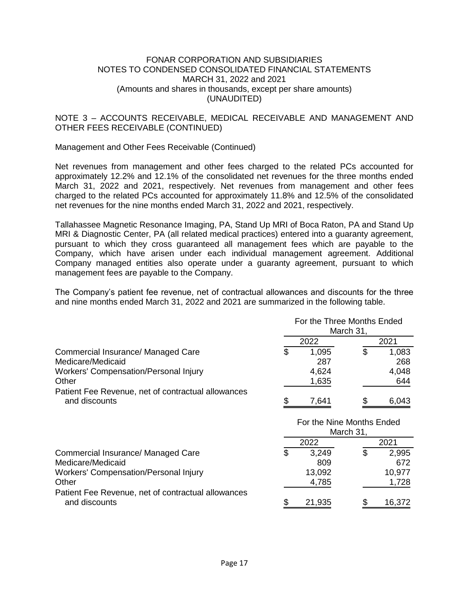# NOTE 3 – ACCOUNTS RECEIVABLE, MEDICAL RECEIVABLE AND MANAGEMENT AND OTHER FEES RECEIVABLE (CONTINUED)

# Management and Other Fees Receivable (Continued)

Net revenues from management and other fees charged to the related PCs accounted for approximately 12.2% and 12.1% of the consolidated net revenues for the three months ended March 31, 2022 and 2021, respectively. Net revenues from management and other fees charged to the related PCs accounted for approximately 11.8% and 12.5% of the consolidated net revenues for the nine months ended March 31, 2022 and 2021, respectively.

Tallahassee Magnetic Resonance Imaging, PA, Stand Up MRI of Boca Raton, PA and Stand Up MRI & Diagnostic Center, PA (all related medical practices) entered into a guaranty agreement, pursuant to which they cross guaranteed all management fees which are payable to the Company, which have arisen under each individual management agreement. Additional Company managed entities also operate under a guaranty agreement, pursuant to which management fees are payable to the Company.

The Company's patient fee revenue, net of contractual allowances and discounts for the three and nine months ended March 31, 2022 and 2021 are summarized in the following table.

|                                                                                                                  | For the Three Months Ended<br>March 31, |    |                                 |  |
|------------------------------------------------------------------------------------------------------------------|-----------------------------------------|----|---------------------------------|--|
|                                                                                                                  | 2022                                    |    | 2021                            |  |
| Commercial Insurance/ Managed Care<br>Medicare/Medicaid                                                          | \$<br>1,095<br>287                      | \$ | 1,083<br>268                    |  |
| <b>Workers' Compensation/Personal Injury</b>                                                                     | 4,624                                   |    | 4,048                           |  |
| Other                                                                                                            | 1,635                                   |    | 644                             |  |
| Patient Fee Revenue, net of contractual allowances                                                               |                                         |    |                                 |  |
| and discounts                                                                                                    | \$<br>7,641                             | \$ | 6,043                           |  |
|                                                                                                                  | For the Nine Months Ended<br>March 31,  |    |                                 |  |
|                                                                                                                  | 2022                                    |    | 2021                            |  |
| Commercial Insurance/ Managed Care<br>Medicare/Medicaid<br><b>Workers' Compensation/Personal Injury</b><br>Other | \$<br>3,249<br>809<br>13,092<br>4,785   | \$ | 2,995<br>672<br>10,977<br>1,728 |  |
| Patient Fee Revenue, net of contractual allowances                                                               |                                         |    |                                 |  |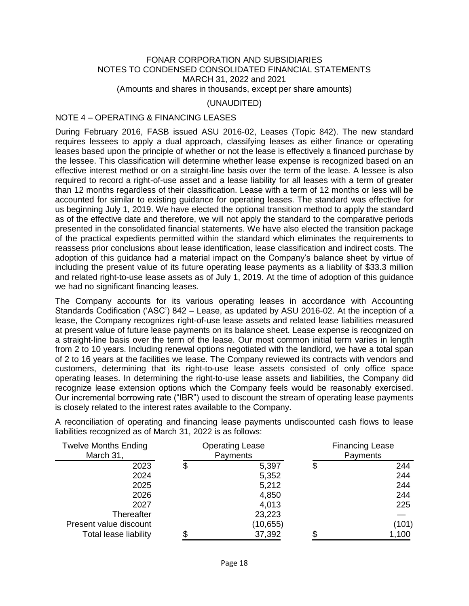(UNAUDITED)

# NOTE 4 – OPERATING & FINANCING LEASES

During February 2016, FASB issued ASU 2016-02, Leases (Topic 842). The new standard requires lessees to apply a dual approach, classifying leases as either finance or operating leases based upon the principle of whether or not the lease is effectively a financed purchase by the lessee. This classification will determine whether lease expense is recognized based on an effective interest method or on a straight-line basis over the term of the lease. A lessee is also required to record a right-of-use asset and a lease liability for all leases with a term of greater than 12 months regardless of their classification. Lease with a term of 12 months or less will be accounted for similar to existing guidance for operating leases. The standard was effective for us beginning July 1, 2019. We have elected the optional transition method to apply the standard as of the effective date and therefore, we will not apply the standard to the comparative periods presented in the consolidated financial statements. We have also elected the transition package of the practical expedients permitted within the standard which eliminates the requirements to reassess prior conclusions about lease identification, lease classification and indirect costs. The adoption of this guidance had a material impact on the Company's balance sheet by virtue of including the present value of its future operating lease payments as a liability of \$33.3 million and related right-to-use lease assets as of July 1, 2019. At the time of adoption of this guidance we had no significant financing leases.

The Company accounts for its various operating leases in accordance with Accounting Standards Codification ('ASC') 842 – Lease, as updated by ASU 2016-02. At the inception of a lease, the Company recognizes right-of-use lease assets and related lease liabilities measured at present value of future lease payments on its balance sheet. Lease expense is recognized on a straight-line basis over the term of the lease. Our most common initial term varies in length from 2 to 10 years. Including renewal options negotiated with the landlord, we have a total span of 2 to 16 years at the facilities we lease. The Company reviewed its contracts with vendors and customers, determining that its right-to-use lease assets consisted of only office space operating leases. In determining the right-to-use lease assets and liabilities, the Company did recognize lease extension options which the Company feels would be reasonably exercised. Our incremental borrowing rate ("IBR") used to discount the stream of operating lease payments is closely related to the interest rates available to the Company.

| <b>Twelve Months Ending</b><br>March 31, | <b>Operating Lease</b><br>Payments | <b>Financing Lease</b><br>Payments |
|------------------------------------------|------------------------------------|------------------------------------|
| 2023                                     | \$<br>5,397                        | \$<br>244                          |
| 2024                                     | 5,352                              | 244                                |
| 2025                                     | 5,212                              | 244                                |
| 2026                                     | 4,850                              | 244                                |
| 2027                                     | 4,013                              | 225                                |
| Thereafter                               | 23,223                             |                                    |
| Present value discount                   | (10, 655)                          | (101)                              |
| Total lease liability                    | 37,392                             | 1,100                              |

A reconciliation of operating and financing lease payments undiscounted cash flows to lease liabilities recognized as of March 31, 2022 is as follows: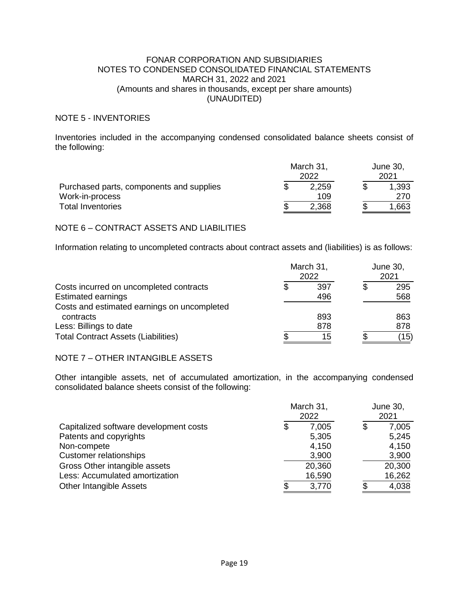# NOTE 5 - INVENTORIES

Inventories included in the accompanying condensed consolidated balance sheets consist of the following:

|                                                             | March 31, | June 30,<br>2021 |  |              |
|-------------------------------------------------------------|-----------|------------------|--|--------------|
| Purchased parts, components and supplies<br>Work-in-process |           | 2,259<br>109     |  | 1,393<br>270 |
| <b>Total Inventories</b>                                    |           | 2,368            |  | .663         |

# NOTE 6 – CONTRACT ASSETS AND LIABILITIES

Information relating to uncompleted contracts about contract assets and (liabilities) is as follows:

|                                             | March 31,<br>2022 | June 30,<br>2021 |  |      |
|---------------------------------------------|-------------------|------------------|--|------|
| Costs incurred on uncompleted contracts     |                   | 397              |  | 295  |
| <b>Estimated earnings</b>                   |                   | 496              |  | 568  |
| Costs and estimated earnings on uncompleted |                   |                  |  |      |
| contracts                                   |                   | 893              |  | 863  |
| Less: Billings to date                      |                   | 878              |  | 878  |
| <b>Total Contract Assets (Liabilities)</b>  |                   | 15               |  | (15) |

# NOTE 7 – OTHER INTANGIBLE ASSETS

Other intangible assets, net of accumulated amortization, in the accompanying condensed consolidated balance sheets consist of the following:

|                                        | March 31,<br>2022 | June 30,<br>2021 |    |        |
|----------------------------------------|-------------------|------------------|----|--------|
| Capitalized software development costs | \$                | 7,005            | \$ | 7,005  |
| Patents and copyrights                 |                   | 5,305            |    | 5,245  |
| Non-compete                            |                   | 4,150            |    | 4,150  |
| <b>Customer relationships</b>          |                   | 3,900            |    | 3,900  |
| Gross Other intangible assets          |                   | 20,360           |    | 20,300 |
| Less: Accumulated amortization         |                   | 16,590           |    | 16,262 |
| <b>Other Intangible Assets</b>         |                   | 3,770            |    | 4,038  |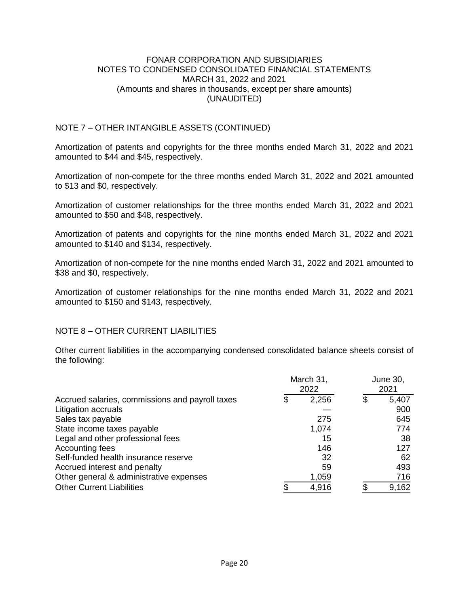# NOTE 7 – OTHER INTANGIBLE ASSETS (CONTINUED)

Amortization of patents and copyrights for the three months ended March 31, 2022 and 2021 amounted to \$44 and \$45, respectively.

Amortization of non-compete for the three months ended March 31, 2022 and 2021 amounted to \$13 and \$0, respectively.

Amortization of customer relationships for the three months ended March 31, 2022 and 2021 amounted to \$50 and \$48, respectively.

Amortization of patents and copyrights for the nine months ended March 31, 2022 and 2021 amounted to \$140 and \$134, respectively.

Amortization of non-compete for the nine months ended March 31, 2022 and 2021 amounted to \$38 and \$0, respectively.

Amortization of customer relationships for the nine months ended March 31, 2022 and 2021 amounted to \$150 and \$143, respectively.

# NOTE 8 – OTHER CURRENT LIABILITIES

Other current liabilities in the accompanying condensed consolidated balance sheets consist of the following:

|                                                 |    | March 31,<br>2022 | June 30,<br>2021 |  |
|-------------------------------------------------|----|-------------------|------------------|--|
| Accrued salaries, commissions and payroll taxes | \$ | 2,256             | \$<br>5,407      |  |
| Litigation accruals                             |    |                   | 900              |  |
| Sales tax payable                               |    | 275               | 645              |  |
| State income taxes payable                      |    | 1,074             | 774              |  |
| Legal and other professional fees               |    | 15                | 38               |  |
| Accounting fees                                 |    | 146               | 127              |  |
| Self-funded health insurance reserve            |    | 32                | 62               |  |
| Accrued interest and penalty                    |    | 59                | 493              |  |
| Other general & administrative expenses         |    | 1,059             | 716              |  |
| <b>Other Current Liabilities</b>                |    | 4,916             | 9,162            |  |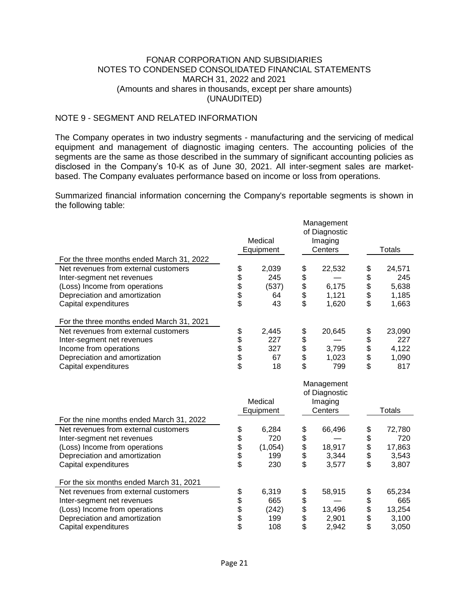# NOTE 9 - SEGMENT AND RELATED INFORMATION

The Company operates in two industry segments - manufacturing and the servicing of medical equipment and management of diagnostic imaging centers. The accounting policies of the segments are the same as those described in the summary of significant accounting policies as disclosed in the Company's 10-K as of June 30, 2021. All inter-segment sales are marketbased. The Company evaluates performance based on income or loss from operations.

Summarized financial information concerning the Company's reportable segments is shown in the following table:

|                                           |            | Medical<br>Equipment |            | Management<br>of Diagnostic<br>Imaging<br>Centers |            | <b>Totals</b> |
|-------------------------------------------|------------|----------------------|------------|---------------------------------------------------|------------|---------------|
| For the three months ended March 31, 2022 |            |                      |            |                                                   |            |               |
| Net revenues from external customers      | \$         | 2,039                | \$<br>\$   | 22,532                                            | \$\$\$\$\$ | 24,571        |
| Inter-segment net revenues                |            | 245                  |            |                                                   |            | 245           |
| (Loss) Income from operations             | \$\$\$\$   | (537)                | \$\$\$     | 6,175                                             |            | 5,638         |
| Depreciation and amortization             |            | 64                   |            | 1,121                                             |            | 1,185         |
| Capital expenditures                      |            | 43                   |            | 1,620                                             |            | 1,663         |
| For the three months ended March 31, 2021 |            |                      |            |                                                   |            |               |
| Net revenues from external customers      | \$         | 2,445                |            | 20,645                                            | \$         | 23,090        |
| Inter-segment net revenues                |            | 227                  | \$<br>\$   |                                                   |            | 227           |
| Income from operations                    | \$\$\$\$   | 327                  |            | 3,795                                             | \$\$\$\$   | 4,122         |
| Depreciation and amortization             |            | 67                   | \$         | 1,023                                             |            | 1,090         |
| Capital expenditures                      |            | 18                   | \$         | 799                                               |            | 817           |
|                                           |            |                      |            | Management<br>of Diagnostic                       |            |               |
|                                           |            | Medical<br>Equipment |            | Imaging<br>Centers                                |            | Totals        |
| For the nine months ended March 31, 2022  |            |                      |            |                                                   |            |               |
| Net revenues from external customers      |            | 6,284                | \$         | 66,496                                            |            | 72,780        |
| Inter-segment net revenues                |            | 720                  |            |                                                   |            | 720           |
| (Loss) Income from operations             |            | (1,054)              |            | 18,917                                            |            | 17,863        |
| Depreciation and amortization             |            | 199                  |            | 3,344                                             |            | 3,543         |
| Capital expenditures                      | \$\$\$\$\$ | 230                  | \$\$\$\$   | 3,577                                             | \$\$\$\$\$ | 3,807         |
| For the six months ended March 31, 2021   |            |                      |            |                                                   |            |               |
| Net revenues from external customers      |            | 6,319                |            | 58,915                                            |            | 65,234        |
| Inter-segment net revenues                | \$         | 665                  | \$         |                                                   | \$         | 665           |
| (Loss) Income from operations             |            | (242)                |            | 13,496                                            |            | 13,254        |
| Depreciation and amortization             | \$\$\$\$   | 199                  | \$\$<br>\$ | 2,901                                             | \$\$<br>\$ | 3,100         |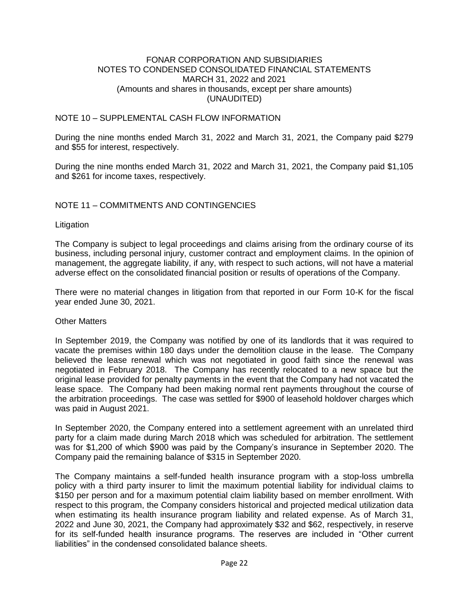# NOTE 10 – SUPPLEMENTAL CASH FLOW INFORMATION

During the nine months ended March 31, 2022 and March 31, 2021, the Company paid \$279 and \$55 for interest, respectively.

During the nine months ended March 31, 2022 and March 31, 2021, the Company paid \$1,105 and \$261 for income taxes, respectively.

## NOTE 11 – COMMITMENTS AND CONTINGENCIES

#### **Litigation**

The Company is subject to legal proceedings and claims arising from the ordinary course of its business, including personal injury, customer contract and employment claims. In the opinion of management, the aggregate liability, if any, with respect to such actions, will not have a material adverse effect on the consolidated financial position or results of operations of the Company.

There were no material changes in litigation from that reported in our Form 10-K for the fiscal year ended June 30, 2021.

#### Other Matters

In September 2019, the Company was notified by one of its landlords that it was required to vacate the premises within 180 days under the demolition clause in the lease. The Company believed the lease renewal which was not negotiated in good faith since the renewal was negotiated in February 2018. The Company has recently relocated to a new space but the original lease provided for penalty payments in the event that the Company had not vacated the lease space. The Company had been making normal rent payments throughout the course of the arbitration proceedings. The case was settled for \$900 of leasehold holdover charges which was paid in August 2021.

In September 2020, the Company entered into a settlement agreement with an unrelated third party for a claim made during March 2018 which was scheduled for arbitration. The settlement was for \$1,200 of which \$900 was paid by the Company's insurance in September 2020. The Company paid the remaining balance of \$315 in September 2020.

The Company maintains a self-funded health insurance program with a stop-loss umbrella policy with a third party insurer to limit the maximum potential liability for individual claims to \$150 per person and for a maximum potential claim liability based on member enrollment. With respect to this program, the Company considers historical and projected medical utilization data when estimating its health insurance program liability and related expense. As of March 31, 2022 and June 30, 2021, the Company had approximately \$32 and \$62, respectively, in reserve for its self-funded health insurance programs. The reserves are included in "Other current liabilities" in the condensed consolidated balance sheets.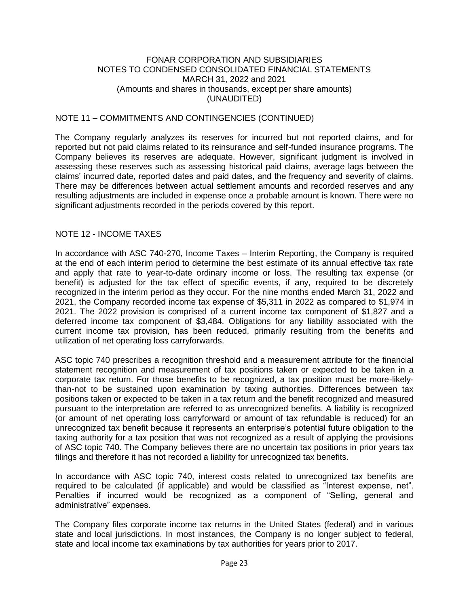# NOTE 11 – COMMITMENTS AND CONTINGENCIES (CONTINUED)

The Company regularly analyzes its reserves for incurred but not reported claims, and for reported but not paid claims related to its reinsurance and self-funded insurance programs. The Company believes its reserves are adequate. However, significant judgment is involved in assessing these reserves such as assessing historical paid claims, average lags between the claims' incurred date, reported dates and paid dates, and the frequency and severity of claims. There may be differences between actual settlement amounts and recorded reserves and any resulting adjustments are included in expense once a probable amount is known. There were no significant adjustments recorded in the periods covered by this report.

## NOTE 12 - INCOME TAXES

In accordance with ASC 740-270, Income Taxes – Interim Reporting, the Company is required at the end of each interim period to determine the best estimate of its annual effective tax rate and apply that rate to year-to-date ordinary income or loss. The resulting tax expense (or benefit) is adjusted for the tax effect of specific events, if any, required to be discretely recognized in the interim period as they occur. For the nine months ended March 31, 2022 and 2021, the Company recorded income tax expense of \$5,311 in 2022 as compared to \$1,974 in 2021. The 2022 provision is comprised of a current income tax component of \$1,827 and a deferred income tax component of \$3,484. Obligations for any liability associated with the current income tax provision, has been reduced, primarily resulting from the benefits and utilization of net operating loss carryforwards.

ASC topic 740 prescribes a recognition threshold and a measurement attribute for the financial statement recognition and measurement of tax positions taken or expected to be taken in a corporate tax return. For those benefits to be recognized, a tax position must be more-likelythan-not to be sustained upon examination by taxing authorities. Differences between tax positions taken or expected to be taken in a tax return and the benefit recognized and measured pursuant to the interpretation are referred to as unrecognized benefits. A liability is recognized (or amount of net operating loss carryforward or amount of tax refundable is reduced) for an unrecognized tax benefit because it represents an enterprise's potential future obligation to the taxing authority for a tax position that was not recognized as a result of applying the provisions of ASC topic 740. The Company believes there are no uncertain tax positions in prior years tax filings and therefore it has not recorded a liability for unrecognized tax benefits.

In accordance with ASC topic 740, interest costs related to unrecognized tax benefits are required to be calculated (if applicable) and would be classified as "Interest expense, net". Penalties if incurred would be recognized as a component of "Selling, general and administrative" expenses.

The Company files corporate income tax returns in the United States (federal) and in various state and local jurisdictions. In most instances, the Company is no longer subject to federal, state and local income tax examinations by tax authorities for years prior to 2017.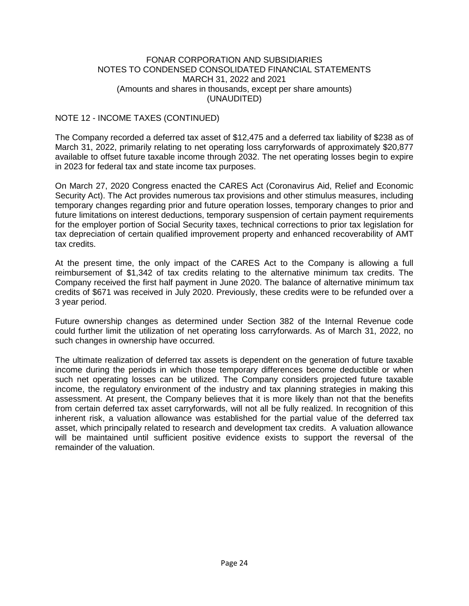# NOTE 12 - INCOME TAXES (CONTINUED)

The Company recorded a deferred tax asset of \$12,475 and a deferred tax liability of \$238 as of March 31, 2022, primarily relating to net operating loss carryforwards of approximately \$20,877 available to offset future taxable income through 2032. The net operating losses begin to expire in 2023 for federal tax and state income tax purposes.

On March 27, 2020 Congress enacted the CARES Act (Coronavirus Aid, Relief and Economic Security Act). The Act provides numerous tax provisions and other stimulus measures, including temporary changes regarding prior and future operation losses, temporary changes to prior and future limitations on interest deductions, temporary suspension of certain payment requirements for the employer portion of Social Security taxes, technical corrections to prior tax legislation for tax depreciation of certain qualified improvement property and enhanced recoverability of AMT tax credits.

At the present time, the only impact of the CARES Act to the Company is allowing a full reimbursement of \$1,342 of tax credits relating to the alternative minimum tax credits. The Company received the first half payment in June 2020. The balance of alternative minimum tax credits of \$671 was received in July 2020. Previously, these credits were to be refunded over a 3 year period.

Future ownership changes as determined under Section 382 of the Internal Revenue code could further limit the utilization of net operating loss carryforwards. As of March 31, 2022, no such changes in ownership have occurred.

The ultimate realization of deferred tax assets is dependent on the generation of future taxable income during the periods in which those temporary differences become deductible or when such net operating losses can be utilized. The Company considers projected future taxable income, the regulatory environment of the industry and tax planning strategies in making this assessment. At present, the Company believes that it is more likely than not that the benefits from certain deferred tax asset carryforwards, will not all be fully realized. In recognition of this inherent risk, a valuation allowance was established for the partial value of the deferred tax asset, which principally related to research and development tax credits. A valuation allowance will be maintained until sufficient positive evidence exists to support the reversal of the remainder of the valuation.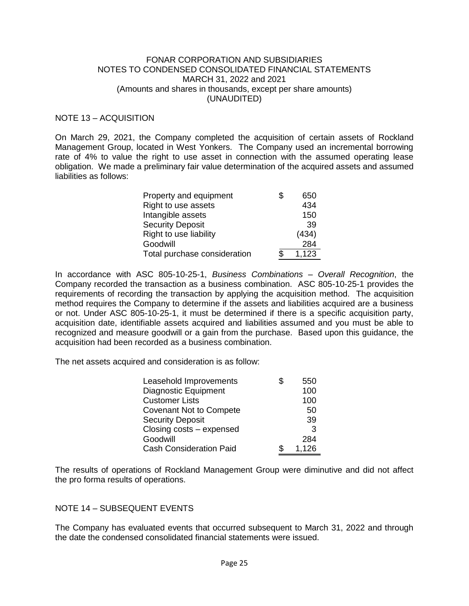# NOTE 13 – ACQUISITION

On March 29, 2021, the Company completed the acquisition of certain assets of Rockland Management Group, located in West Yonkers. The Company used an incremental borrowing rate of 4% to value the right to use asset in connection with the assumed operating lease obligation. We made a preliminary fair value determination of the acquired assets and assumed liabilities as follows:

| Property and equipment       | \$<br>650 |
|------------------------------|-----------|
| Right to use assets          | 434       |
| Intangible assets            | 150       |
| <b>Security Deposit</b>      | 39        |
| Right to use liability       | (434)     |
| Goodwill                     | 284       |
| Total purchase consideration | 1,123     |

In accordance with ASC 805-10-25-1, *Business Combinations – Overall Recognition*, the Company recorded the transaction as a business combination. ASC 805-10-25-1 provides the requirements of recording the transaction by applying the acquisition method. The acquisition method requires the Company to determine if the assets and liabilities acquired are a business or not. Under ASC 805-10-25-1, it must be determined if there is a specific acquisition party, acquisition date, identifiable assets acquired and liabilities assumed and you must be able to recognized and measure goodwill or a gain from the purchase. Based upon this guidance, the acquisition had been recorded as a business combination.

The net assets acquired and consideration is as follow:

| Leasehold Improvements         | \$<br>550 |
|--------------------------------|-----------|
| <b>Diagnostic Equipment</b>    | 100       |
| <b>Customer Lists</b>          | 100       |
| <b>Covenant Not to Compete</b> | 50        |
| <b>Security Deposit</b>        | 39        |
| Closing costs - expensed       | 3         |
| Goodwill                       | 284       |
| <b>Cash Consideration Paid</b> | 1,126     |

The results of operations of Rockland Management Group were diminutive and did not affect the pro forma results of operations.

#### NOTE 14 – SUBSEQUENT EVENTS

The Company has evaluated events that occurred subsequent to March 31, 2022 and through the date the condensed consolidated financial statements were issued.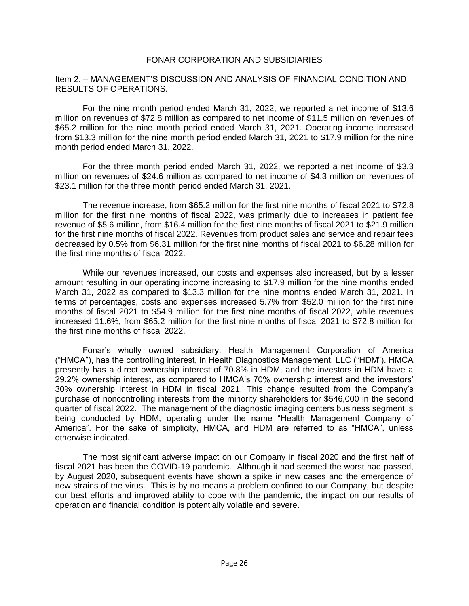## Item 2. – MANAGEMENT'S DISCUSSION AND ANALYSIS OF FINANCIAL CONDITION AND RESULTS OF OPERATIONS.

For the nine month period ended March 31, 2022, we reported a net income of \$13.6 million on revenues of \$72.8 million as compared to net income of \$11.5 million on revenues of \$65.2 million for the nine month period ended March 31, 2021. Operating income increased from \$13.3 million for the nine month period ended March 31, 2021 to \$17.9 million for the nine month period ended March 31, 2022.

For the three month period ended March 31, 2022, we reported a net income of \$3.3 million on revenues of \$24.6 million as compared to net income of \$4.3 million on revenues of \$23.1 million for the three month period ended March 31, 2021.

The revenue increase, from \$65.2 million for the first nine months of fiscal 2021 to \$72.8 million for the first nine months of fiscal 2022, was primarily due to increases in patient fee revenue of \$5.6 million, from \$16.4 million for the first nine months of fiscal 2021 to \$21.9 million for the first nine months of fiscal 2022. Revenues from product sales and service and repair fees decreased by 0.5% from \$6.31 million for the first nine months of fiscal 2021 to \$6.28 million for the first nine months of fiscal 2022.

While our revenues increased, our costs and expenses also increased, but by a lesser amount resulting in our operating income increasing to \$17.9 million for the nine months ended March 31, 2022 as compared to \$13.3 million for the nine months ended March 31, 2021. In terms of percentages, costs and expenses increased 5.7% from \$52.0 million for the first nine months of fiscal 2021 to \$54.9 million for the first nine months of fiscal 2022, while revenues increased 11.6%, from \$65.2 million for the first nine months of fiscal 2021 to \$72.8 million for the first nine months of fiscal 2022.

Fonar's wholly owned subsidiary, Health Management Corporation of America ("HMCA"), has the controlling interest, in Health Diagnostics Management, LLC ("HDM"). HMCA presently has a direct ownership interest of 70.8% in HDM, and the investors in HDM have a 29.2% ownership interest, as compared to HMCA's 70% ownership interest and the investors' 30% ownership interest in HDM in fiscal 2021. This change resulted from the Company's purchase of noncontrolling interests from the minority shareholders for \$546,000 in the second quarter of fiscal 2022. The management of the diagnostic imaging centers business segment is being conducted by HDM, operating under the name "Health Management Company of America". For the sake of simplicity, HMCA, and HDM are referred to as "HMCA", unless otherwise indicated.

The most significant adverse impact on our Company in fiscal 2020 and the first half of fiscal 2021 has been the COVID-19 pandemic. Although it had seemed the worst had passed, by August 2020, subsequent events have shown a spike in new cases and the emergence of new strains of the virus. This is by no means a problem confined to our Company, but despite our best efforts and improved ability to cope with the pandemic, the impact on our results of operation and financial condition is potentially volatile and severe.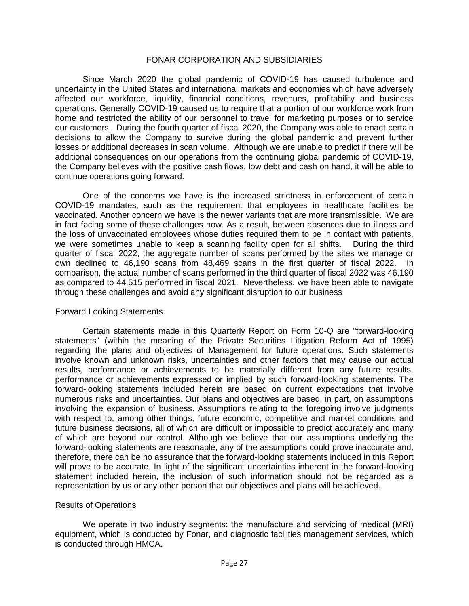Since March 2020 the global pandemic of COVID-19 has caused turbulence and uncertainty in the United States and international markets and economies which have adversely affected our workforce, liquidity, financial conditions, revenues, profitability and business operations. Generally COVID-19 caused us to require that a portion of our workforce work from home and restricted the ability of our personnel to travel for marketing purposes or to service our customers. During the fourth quarter of fiscal 2020, the Company was able to enact certain decisions to allow the Company to survive during the global pandemic and prevent further losses or additional decreases in scan volume. Although we are unable to predict if there will be additional consequences on our operations from the continuing global pandemic of COVID-19, the Company believes with the positive cash flows, low debt and cash on hand, it will be able to continue operations going forward.

One of the concerns we have is the increased strictness in enforcement of certain COVID-19 mandates, such as the requirement that employees in healthcare facilities be vaccinated. Another concern we have is the newer variants that are more transmissible. We are in fact facing some of these challenges now. As a result, between absences due to illness and the loss of unvaccinated employees whose duties required them to be in contact with patients, we were sometimes unable to keep a scanning facility open for all shifts. During the third quarter of fiscal 2022, the aggregate number of scans performed by the sites we manage or own declined to 46,190 scans from 48,469 scans in the first quarter of fiscal 2022. In comparison, the actual number of scans performed in the third quarter of fiscal 2022 was 46,190 as compared to 44,515 performed in fiscal 2021. Nevertheless, we have been able to navigate through these challenges and avoid any significant disruption to our business

#### Forward Looking Statements

Certain statements made in this Quarterly Report on Form 10-Q are "forward-looking statements" (within the meaning of the Private Securities Litigation Reform Act of 1995) regarding the plans and objectives of Management for future operations. Such statements involve known and unknown risks, uncertainties and other factors that may cause our actual results, performance or achievements to be materially different from any future results, performance or achievements expressed or implied by such forward-looking statements. The forward-looking statements included herein are based on current expectations that involve numerous risks and uncertainties. Our plans and objectives are based, in part, on assumptions involving the expansion of business. Assumptions relating to the foregoing involve judgments with respect to, among other things, future economic, competitive and market conditions and future business decisions, all of which are difficult or impossible to predict accurately and many of which are beyond our control. Although we believe that our assumptions underlying the forward-looking statements are reasonable, any of the assumptions could prove inaccurate and, therefore, there can be no assurance that the forward-looking statements included in this Report will prove to be accurate. In light of the significant uncertainties inherent in the forward-looking statement included herein, the inclusion of such information should not be regarded as a representation by us or any other person that our objectives and plans will be achieved.

#### Results of Operations

We operate in two industry segments: the manufacture and servicing of medical (MRI) equipment, which is conducted by Fonar, and diagnostic facilities management services, which is conducted through HMCA.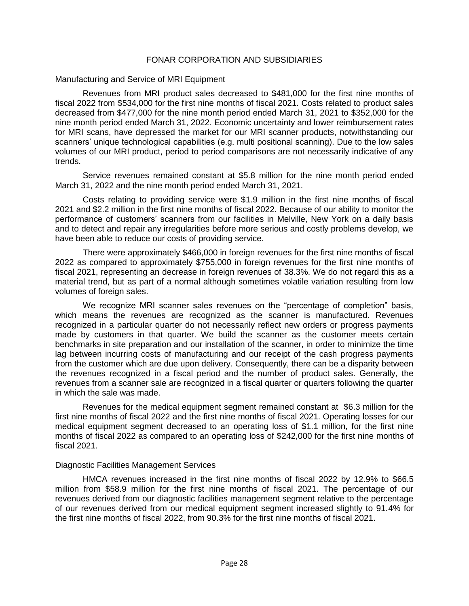## Manufacturing and Service of MRI Equipment

Revenues from MRI product sales decreased to \$481,000 for the first nine months of fiscal 2022 from \$534,000 for the first nine months of fiscal 2021. Costs related to product sales decreased from \$477,000 for the nine month period ended March 31, 2021 to \$352,000 for the nine month period ended March 31, 2022. Economic uncertainty and lower reimbursement rates for MRI scans, have depressed the market for our MRI scanner products, notwithstanding our scanners' unique technological capabilities (e.g. multi positional scanning). Due to the low sales volumes of our MRI product, period to period comparisons are not necessarily indicative of any trends.

Service revenues remained constant at \$5.8 million for the nine month period ended March 31, 2022 and the nine month period ended March 31, 2021.

Costs relating to providing service were \$1.9 million in the first nine months of fiscal 2021 and \$2.2 million in the first nine months of fiscal 2022. Because of our ability to monitor the performance of customers' scanners from our facilities in Melville, New York on a daily basis and to detect and repair any irregularities before more serious and costly problems develop, we have been able to reduce our costs of providing service.

There were approximately \$466,000 in foreign revenues for the first nine months of fiscal 2022 as compared to approximately \$755,000 in foreign revenues for the first nine months of fiscal 2021, representing an decrease in foreign revenues of 38.3%. We do not regard this as a material trend, but as part of a normal although sometimes volatile variation resulting from low volumes of foreign sales.

We recognize MRI scanner sales revenues on the "percentage of completion" basis, which means the revenues are recognized as the scanner is manufactured. Revenues recognized in a particular quarter do not necessarily reflect new orders or progress payments made by customers in that quarter. We build the scanner as the customer meets certain benchmarks in site preparation and our installation of the scanner, in order to minimize the time lag between incurring costs of manufacturing and our receipt of the cash progress payments from the customer which are due upon delivery. Consequently, there can be a disparity between the revenues recognized in a fiscal period and the number of product sales. Generally, the revenues from a scanner sale are recognized in a fiscal quarter or quarters following the quarter in which the sale was made.

Revenues for the medical equipment segment remained constant at \$6.3 million for the first nine months of fiscal 2022 and the first nine months of fiscal 2021. Operating losses for our medical equipment segment decreased to an operating loss of \$1.1 million, for the first nine months of fiscal 2022 as compared to an operating loss of \$242,000 for the first nine months of fiscal 2021.

#### Diagnostic Facilities Management Services

HMCA revenues increased in the first nine months of fiscal 2022 by 12.9% to \$66.5 million from \$58.9 million for the first nine months of fiscal 2021. The percentage of our revenues derived from our diagnostic facilities management segment relative to the percentage of our revenues derived from our medical equipment segment increased slightly to 91.4% for the first nine months of fiscal 2022, from 90.3% for the first nine months of fiscal 2021.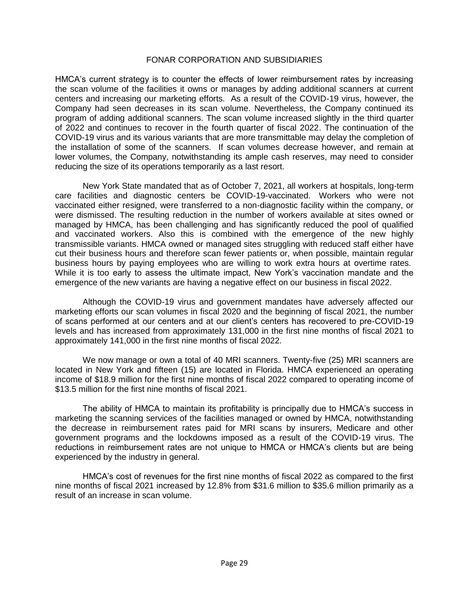HMCA's current strategy is to counter the effects of lower reimbursement rates by increasing the scan volume of the facilities it owns or manages by adding additional scanners at current centers and increasing our marketing efforts. As a result of the COVID-19 virus, however, the Company had seen decreases in its scan volume. Nevertheless, the Company continued its program of adding additional scanners. The scan volume increased slightly in the third quarter of 2022 and continues to recover in the fourth quarter of fiscal 2022. The continuation of the COVID-19 virus and its various variants that are more transmittable may delay the completion of the installation of some of the scanners. If scan volumes decrease however, and remain at lower volumes, the Company, notwithstanding its ample cash reserves, may need to consider reducing the size of its operations temporarily as a last resort.

New York State mandated that as of October 7, 2021, all workers at hospitals, long-term care facilities and diagnostic centers be COVID-19-vaccinated. Workers who were not vaccinated either resigned, were transferred to a non-diagnostic facility within the company, or were dismissed. The resulting reduction in the number of workers available at sites owned or managed by HMCA, has been challenging and has significantly reduced the pool of qualified and vaccinated workers. Also this is combined with the emergence of the new highly transmissible variants. HMCA owned or managed sites struggling with reduced staff either have cut their business hours and therefore scan fewer patients or, when possible, maintain regular business hours by paying employees who are willing to work extra hours at overtime rates. While it is too early to assess the ultimate impact, New York's vaccination mandate and the emergence of the new variants are having a negative effect on our business in fiscal 2022.

Although the COVID-19 virus and government mandates have adversely affected our marketing efforts our scan volumes in fiscal 2020 and the beginning of fiscal 2021, the number of scans performed at our centers and at our client's centers has recovered to pre-COVID-19 levels and has increased from approximately 131,000 in the first nine months of fiscal 2021 to approximately 141,000 in the first nine months of fiscal 2022.

We now manage or own a total of 40 MRI scanners. Twenty-five (25) MRI scanners are located in New York and fifteen (15) are located in Florida. HMCA experienced an operating income of \$18.9 million for the first nine months of fiscal 2022 compared to operating income of \$13.5 million for the first nine months of fiscal 2021.

The ability of HMCA to maintain its profitability is principally due to HMCA's success in marketing the scanning services of the facilities managed or owned by HMCA, notwithstanding the decrease in reimbursement rates paid for MRI scans by insurers, Medicare and other government programs and the lockdowns imposed as a result of the COVID-19 virus. The reductions in reimbursement rates are not unique to HMCA or HMCA's clients but are being experienced by the industry in general.

HMCA's cost of revenues for the first nine months of fiscal 2022 as compared to the first nine months of fiscal 2021 increased by 12.8% from \$31.6 million to \$35.6 million primarily as a result of an increase in scan volume.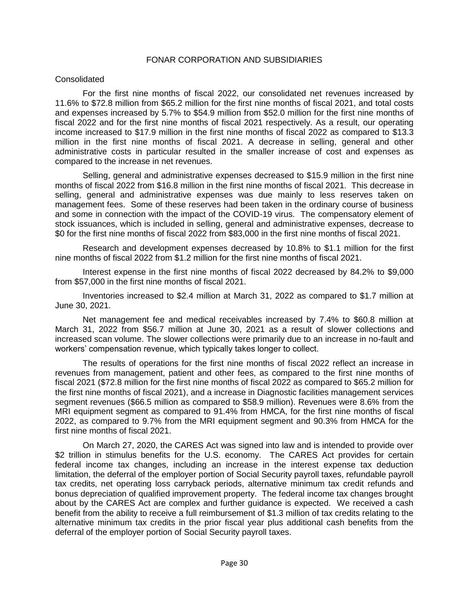#### Consolidated

For the first nine months of fiscal 2022, our consolidated net revenues increased by 11.6% to \$72.8 million from \$65.2 million for the first nine months of fiscal 2021, and total costs and expenses increased by 5.7% to \$54.9 million from \$52.0 million for the first nine months of fiscal 2022 and for the first nine months of fiscal 2021 respectively. As a result, our operating income increased to \$17.9 million in the first nine months of fiscal 2022 as compared to \$13.3 million in the first nine months of fiscal 2021. A decrease in selling, general and other administrative costs in particular resulted in the smaller increase of cost and expenses as compared to the increase in net revenues.

Selling, general and administrative expenses decreased to \$15.9 million in the first nine months of fiscal 2022 from \$16.8 million in the first nine months of fiscal 2021. This decrease in selling, general and administrative expenses was due mainly to less reserves taken on management fees. Some of these reserves had been taken in the ordinary course of business and some in connection with the impact of the COVID-19 virus. The compensatory element of stock issuances, which is included in selling, general and administrative expenses, decrease to \$0 for the first nine months of fiscal 2022 from \$83,000 in the first nine months of fiscal 2021.

Research and development expenses decreased by 10.8% to \$1.1 million for the first nine months of fiscal 2022 from \$1.2 million for the first nine months of fiscal 2021.

Interest expense in the first nine months of fiscal 2022 decreased by 84.2% to \$9,000 from \$57,000 in the first nine months of fiscal 2021.

Inventories increased to \$2.4 million at March 31, 2022 as compared to \$1.7 million at June 30, 2021.

Net management fee and medical receivables increased by 7.4% to \$60.8 million at March 31, 2022 from \$56.7 million at June 30, 2021 as a result of slower collections and increased scan volume. The slower collections were primarily due to an increase in no-fault and workers' compensation revenue, which typically takes longer to collect.

The results of operations for the first nine months of fiscal 2022 reflect an increase in revenues from management, patient and other fees, as compared to the first nine months of fiscal 2021 (\$72.8 million for the first nine months of fiscal 2022 as compared to \$65.2 million for the first nine months of fiscal 2021), and a increase in Diagnostic facilities management services segment revenues (\$66.5 million as compared to \$58.9 million). Revenues were 8.6% from the MRI equipment segment as compared to 91.4% from HMCA, for the first nine months of fiscal 2022, as compared to 9.7% from the MRI equipment segment and 90.3% from HMCA for the first nine months of fiscal 2021.

On March 27, 2020, the CARES Act was signed into law and is intended to provide over \$2 trillion in stimulus benefits for the U.S. economy. The CARES Act provides for certain federal income tax changes, including an increase in the interest expense tax deduction limitation, the deferral of the employer portion of Social Security payroll taxes, refundable payroll tax credits, net operating loss carryback periods, alternative minimum tax credit refunds and bonus depreciation of qualified improvement property. The federal income tax changes brought about by the CARES Act are complex and further guidance is expected. We received a cash benefit from the ability to receive a full reimbursement of \$1.3 million of tax credits relating to the alternative minimum tax credits in the prior fiscal year plus additional cash benefits from the deferral of the employer portion of Social Security payroll taxes.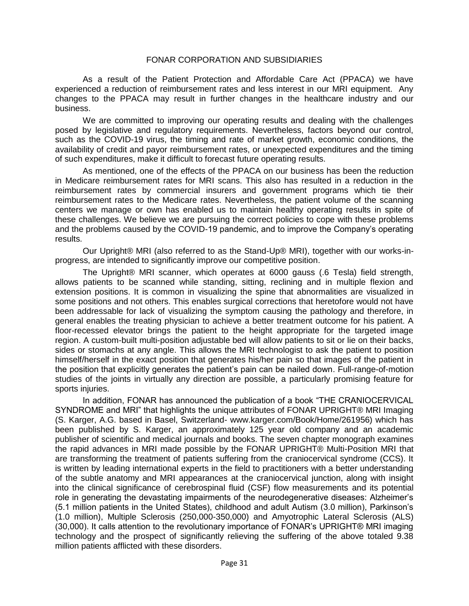As a result of the Patient Protection and Affordable Care Act (PPACA) we have experienced a reduction of reimbursement rates and less interest in our MRI equipment. Any changes to the PPACA may result in further changes in the healthcare industry and our business.

We are committed to improving our operating results and dealing with the challenges posed by legislative and regulatory requirements. Nevertheless, factors beyond our control, such as the COVID-19 virus, the timing and rate of market growth, economic conditions, the availability of credit and payor reimbursement rates, or unexpected expenditures and the timing of such expenditures, make it difficult to forecast future operating results.

As mentioned, one of the effects of the PPACA on our business has been the reduction in Medicare reimbursement rates for MRI scans. This also has resulted in a reduction in the reimbursement rates by commercial insurers and government programs which tie their reimbursement rates to the Medicare rates. Nevertheless, the patient volume of the scanning centers we manage or own has enabled us to maintain healthy operating results in spite of these challenges. We believe we are pursuing the correct policies to cope with these problems and the problems caused by the COVID-19 pandemic, and to improve the Company's operating results.

Our Upright® MRI (also referred to as the Stand-Up® MRI), together with our works-inprogress, are intended to significantly improve our competitive position.

The Upright® MRI scanner, which operates at 6000 gauss (.6 Tesla) field strength, allows patients to be scanned while standing, sitting, reclining and in multiple flexion and extension positions. It is common in visualizing the spine that abnormalities are visualized in some positions and not others. This enables surgical corrections that heretofore would not have been addressable for lack of visualizing the symptom causing the pathology and therefore, in general enables the treating physician to achieve a better treatment outcome for his patient. A floor-recessed elevator brings the patient to the height appropriate for the targeted image region. A custom-built multi-position adjustable bed will allow patients to sit or lie on their backs, sides or stomachs at any angle. This allows the MRI technologist to ask the patient to position himself/herself in the exact position that generates his/her pain so that images of the patient in the position that explicitly generates the patient's pain can be nailed down. Full-range-of-motion studies of the joints in virtually any direction are possible, a particularly promising feature for sports injuries.

In addition, FONAR has announced the publication of a book "THE CRANIOCERVICAL SYNDROME and MRI" that highlights the unique attributes of FONAR UPRIGHT® MRI Imaging (S. Karger, A.G. based in Basel, Switzerland- www.karger.com/Book/Home/261956) which has been published by S. Karger, an approximately 125 year old company and an academic publisher of scientific and medical journals and books. The seven chapter monograph examines the rapid advances in MRI made possible by the FONAR UPRIGHT® Multi-Position MRI that are transforming the treatment of patients suffering from the craniocervical syndrome (CCS). It is written by leading international experts in the field to practitioners with a better understanding of the subtle anatomy and MRI appearances at the craniocervical junction, along with insight into the clinical significance of cerebrospinal fluid (CSF) flow measurements and its potential role in generating the devastating impairments of the neurodegenerative diseases: Alzheimer's (5.1 million patients in the United States), childhood and adult Autism (3.0 million), Parkinson's (1.0 million), Multiple Sclerosis (250,000-350,000) and Amyotrophic Lateral Sclerosis (ALS) (30,000). It calls attention to the revolutionary importance of FONAR's UPRIGHT® MRI imaging technology and the prospect of significantly relieving the suffering of the above totaled 9.38 million patients afflicted with these disorders.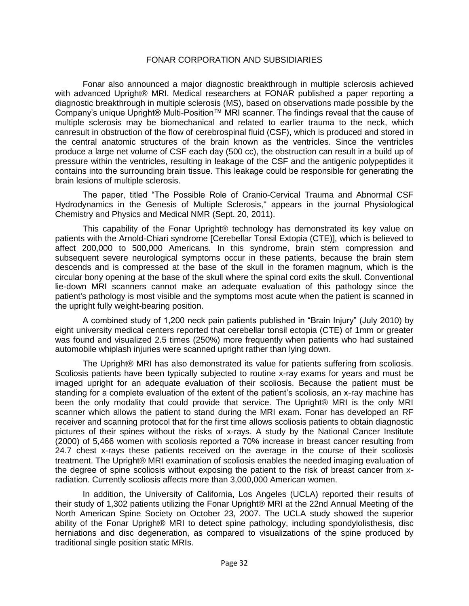Fonar also announced a major diagnostic breakthrough in multiple sclerosis achieved with advanced Upright® MRI. Medical researchers at FONAR published a paper reporting a diagnostic breakthrough in multiple sclerosis (MS), based on observations made possible by the Company's unique Upright® Multi-Position™ MRI scanner. The findings reveal that the cause of multiple sclerosis may be biomechanical and related to earlier trauma to the neck, which canresult in obstruction of the flow of cerebrospinal fluid (CSF), which is produced and stored in the central anatomic structures of the brain known as the ventricles. Since the ventricles produce a large net volume of CSF each day (500 cc), the obstruction can result in a build up of pressure within the ventricles, resulting in leakage of the CSF and the antigenic polypeptides it contains into the surrounding brain tissue. This leakage could be responsible for generating the brain lesions of multiple sclerosis.

The paper, titled "The Possible Role of Cranio-Cervical Trauma and Abnormal CSF Hydrodynamics in the Genesis of Multiple Sclerosis," appears in the journal Physiological Chemistry and Physics and Medical NMR (Sept. 20, 2011).

This capability of the Fonar Upright® technology has demonstrated its key value on patients with the Arnold-Chiari syndrome [Cerebellar Tonsil Extopia (CTE)], which is believed to affect 200,000 to 500,000 Americans. In this syndrome, brain stem compression and subsequent severe neurological symptoms occur in these patients, because the brain stem descends and is compressed at the base of the skull in the foramen magnum, which is the circular bony opening at the base of the skull where the spinal cord exits the skull. Conventional lie-down MRI scanners cannot make an adequate evaluation of this pathology since the patient's pathology is most visible and the symptoms most acute when the patient is scanned in the upright fully weight-bearing position.

A combined study of 1,200 neck pain patients published in "Brain Injury" (July 2010) by eight university medical centers reported that cerebellar tonsil ectopia (CTE) of 1mm or greater was found and visualized 2.5 times (250%) more frequently when patients who had sustained automobile whiplash injuries were scanned upright rather than lying down.

The Upright® MRI has also demonstrated its value for patients suffering from scoliosis. Scoliosis patients have been typically subjected to routine x-ray exams for years and must be imaged upright for an adequate evaluation of their scoliosis. Because the patient must be standing for a complete evaluation of the extent of the patient's scoliosis, an x-ray machine has been the only modality that could provide that service. The Upright® MRI is the only MRI scanner which allows the patient to stand during the MRI exam. Fonar has developed an RF receiver and scanning protocol that for the first time allows scoliosis patients to obtain diagnostic pictures of their spines without the risks of x-rays. A study by the National Cancer Institute (2000) of 5,466 women with scoliosis reported a 70% increase in breast cancer resulting from 24.7 chest x-rays these patients received on the average in the course of their scoliosis treatment. The Upright® MRI examination of scoliosis enables the needed imaging evaluation of the degree of spine scoliosis without exposing the patient to the risk of breast cancer from xradiation. Currently scoliosis affects more than 3,000,000 American women.

In addition, the University of California, Los Angeles (UCLA) reported their results of their study of 1,302 patients utilizing the Fonar Upright® MRI at the 22nd Annual Meeting of the North American Spine Society on October 23, 2007. The UCLA study showed the superior ability of the Fonar Upright® MRI to detect spine pathology, including spondylolisthesis, disc herniations and disc degeneration, as compared to visualizations of the spine produced by traditional single position static MRIs.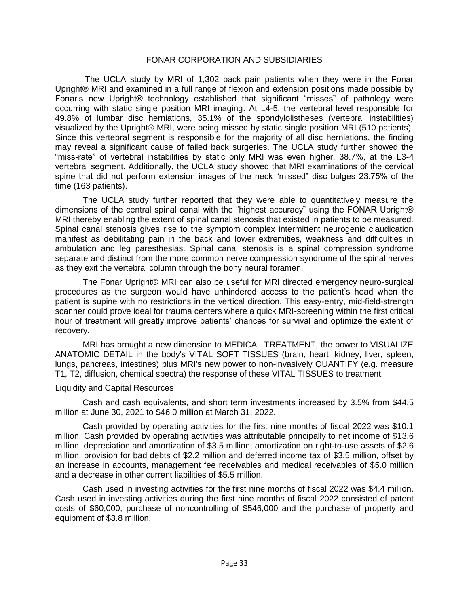The UCLA study by MRI of 1,302 back pain patients when they were in the Fonar Upright® MRI and examined in a full range of flexion and extension positions made possible by Fonar's new Upright® technology established that significant "misses" of pathology were occurring with static single position MRI imaging. At L4-5, the vertebral level responsible for 49.8% of lumbar disc herniations, 35.1% of the spondylolistheses (vertebral instabilities) visualized by the Upright® MRI, were being missed by static single position MRI (510 patients). Since this vertebral segment is responsible for the majority of all disc herniations, the finding may reveal a significant cause of failed back surgeries. The UCLA study further showed the "miss-rate" of vertebral instabilities by static only MRI was even higher, 38.7%, at the L3-4 vertebral segment. Additionally, the UCLA study showed that MRI examinations of the cervical spine that did not perform extension images of the neck "missed" disc bulges 23.75% of the time (163 patients).

The UCLA study further reported that they were able to quantitatively measure the dimensions of the central spinal canal with the "highest accuracy" using the FONAR Upright® MRI thereby enabling the extent of spinal canal stenosis that existed in patients to be measured. Spinal canal stenosis gives rise to the symptom complex intermittent neurogenic claudication manifest as debilitating pain in the back and lower extremities, weakness and difficulties in ambulation and leg paresthesias. Spinal canal stenosis is a spinal compression syndrome separate and distinct from the more common nerve compression syndrome of the spinal nerves as they exit the vertebral column through the bony neural foramen.

The Fonar Upright® MRI can also be useful for MRI directed emergency neuro-surgical procedures as the surgeon would have unhindered access to the patient's head when the patient is supine with no restrictions in the vertical direction. This easy-entry, mid-field-strength scanner could prove ideal for trauma centers where a quick MRI-screening within the first critical hour of treatment will greatly improve patients' chances for survival and optimize the extent of recovery.

MRI has brought a new dimension to MEDICAL TREATMENT, the power to VISUALIZE ANATOMIC DETAIL in the body's VITAL SOFT TISSUES (brain, heart, kidney, liver, spleen, lungs, pancreas, intestines) plus MRI's new power to non-invasively QUANTIFY (e.g. measure T1, T2, diffusion, chemical spectra) the response of these VITAL TISSUES to treatment.

#### Liquidity and Capital Resources

Cash and cash equivalents, and short term investments increased by 3.5% from \$44.5 million at June 30, 2021 to \$46.0 million at March 31, 2022.

Cash provided by operating activities for the first nine months of fiscal 2022 was \$10.1 million. Cash provided by operating activities was attributable principally to net income of \$13.6 million, depreciation and amortization of \$3.5 million, amortization on right-to-use assets of \$2.6 million, provision for bad debts of \$2.2 million and deferred income tax of \$3.5 million, offset by an increase in accounts, management fee receivables and medical receivables of \$5.0 million and a decrease in other current liabilities of \$5.5 million.

Cash used in investing activities for the first nine months of fiscal 2022 was \$4.4 million. Cash used in investing activities during the first nine months of fiscal 2022 consisted of patent costs of \$60,000, purchase of noncontrolling of \$546,000 and the purchase of property and equipment of \$3.8 million.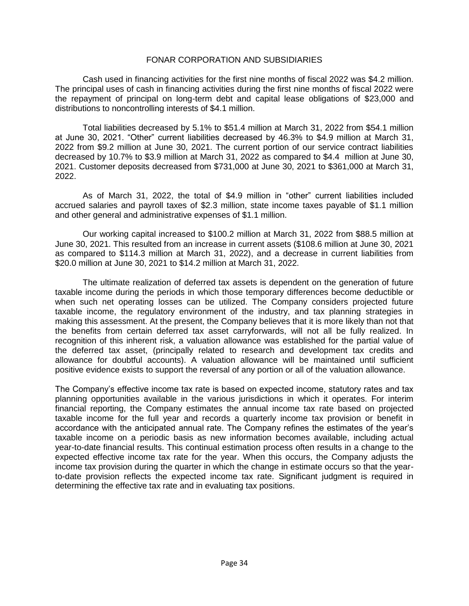Cash used in financing activities for the first nine months of fiscal 2022 was \$4.2 million. The principal uses of cash in financing activities during the first nine months of fiscal 2022 were the repayment of principal on long-term debt and capital lease obligations of \$23,000 and distributions to noncontrolling interests of \$4.1 million.

Total liabilities decreased by 5.1% to \$51.4 million at March 31, 2022 from \$54.1 million at June 30, 2021. "Other" current liabilities decreased by 46.3% to \$4.9 million at March 31, 2022 from \$9.2 million at June 30, 2021. The current portion of our service contract liabilities decreased by 10.7% to \$3.9 million at March 31, 2022 as compared to \$4.4 million at June 30, 2021. Customer deposits decreased from \$731,000 at June 30, 2021 to \$361,000 at March 31, 2022.

As of March 31, 2022, the total of \$4.9 million in "other" current liabilities included accrued salaries and payroll taxes of \$2.3 million, state income taxes payable of \$1.1 million and other general and administrative expenses of \$1.1 million.

Our working capital increased to \$100.2 million at March 31, 2022 from \$88.5 million at June 30, 2021. This resulted from an increase in current assets (\$108.6 million at June 30, 2021 as compared to \$114.3 million at March 31, 2022), and a decrease in current liabilities from \$20.0 million at June 30, 2021 to \$14.2 million at March 31, 2022.

The ultimate realization of deferred tax assets is dependent on the generation of future taxable income during the periods in which those temporary differences become deductible or when such net operating losses can be utilized. The Company considers projected future taxable income, the regulatory environment of the industry, and tax planning strategies in making this assessment. At the present, the Company believes that it is more likely than not that the benefits from certain deferred tax asset carryforwards, will not all be fully realized. In recognition of this inherent risk, a valuation allowance was established for the partial value of the deferred tax asset, (principally related to research and development tax credits and allowance for doubtful accounts). A valuation allowance will be maintained until sufficient positive evidence exists to support the reversal of any portion or all of the valuation allowance.

The Company's effective income tax rate is based on expected income, statutory rates and tax planning opportunities available in the various jurisdictions in which it operates. For interim financial reporting, the Company estimates the annual income tax rate based on projected taxable income for the full year and records a quarterly income tax provision or benefit in accordance with the anticipated annual rate. The Company refines the estimates of the year's taxable income on a periodic basis as new information becomes available, including actual year-to-date financial results. This continual estimation process often results in a change to the expected effective income tax rate for the year. When this occurs, the Company adjusts the income tax provision during the quarter in which the change in estimate occurs so that the yearto-date provision reflects the expected income tax rate. Significant judgment is required in determining the effective tax rate and in evaluating tax positions.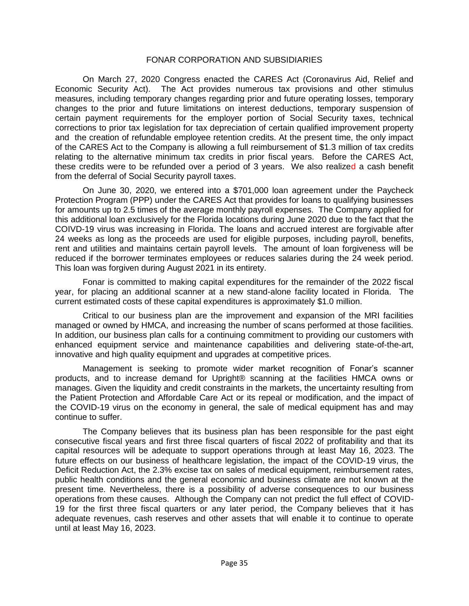On March 27, 2020 Congress enacted the CARES Act (Coronavirus Aid, Relief and Economic Security Act). The Act provides numerous tax provisions and other stimulus measures, including temporary changes regarding prior and future operating losses, temporary changes to the prior and future limitations on interest deductions, temporary suspension of certain payment requirements for the employer portion of Social Security taxes, technical corrections to prior tax legislation for tax depreciation of certain qualified improvement property and the creation of refundable employee retention credits. At the present time, the only impact of the CARES Act to the Company is allowing a full reimbursement of \$1.3 million of tax credits relating to the alternative minimum tax credits in prior fiscal years. Before the CARES Act, these credits were to be refunded over a period of 3 years. We also realized a cash benefit from the deferral of Social Security payroll taxes.

On June 30, 2020, we entered into a \$701,000 loan agreement under the Paycheck Protection Program (PPP) under the CARES Act that provides for loans to qualifying businesses for amounts up to 2.5 times of the average monthly payroll expenses. The Company applied for this additional loan exclusively for the Florida locations during June 2020 due to the fact that the COIVD-19 virus was increasing in Florida. The loans and accrued interest are forgivable after 24 weeks as long as the proceeds are used for eligible purposes, including payroll, benefits, rent and utilities and maintains certain payroll levels. The amount of loan forgiveness will be reduced if the borrower terminates employees or reduces salaries during the 24 week period. This loan was forgiven during August 2021 in its entirety.

Fonar is committed to making capital expenditures for the remainder of the 2022 fiscal year, for placing an additional scanner at a new stand-alone facility located in Florida. The current estimated costs of these capital expenditures is approximately \$1.0 million.

Critical to our business plan are the improvement and expansion of the MRI facilities managed or owned by HMCA, and increasing the number of scans performed at those facilities. In addition, our business plan calls for a continuing commitment to providing our customers with enhanced equipment service and maintenance capabilities and delivering state-of-the-art, innovative and high quality equipment and upgrades at competitive prices.

Management is seeking to promote wider market recognition of Fonar's scanner products, and to increase demand for Upright® scanning at the facilities HMCA owns or manages. Given the liquidity and credit constraints in the markets, the uncertainty resulting from the Patient Protection and Affordable Care Act or its repeal or modification, and the impact of the COVID-19 virus on the economy in general, the sale of medical equipment has and may continue to suffer.

The Company believes that its business plan has been responsible for the past eight consecutive fiscal years and first three fiscal quarters of fiscal 2022 of profitability and that its capital resources will be adequate to support operations through at least May 16, 2023. The future effects on our business of healthcare legislation, the impact of the COVID-19 virus, the Deficit Reduction Act, the 2.3% excise tax on sales of medical equipment, reimbursement rates, public health conditions and the general economic and business climate are not known at the present time. Nevertheless, there is a possibility of adverse consequences to our business operations from these causes. Although the Company can not predict the full effect of COVID-19 for the first three fiscal quarters or any later period, the Company believes that it has adequate revenues, cash reserves and other assets that will enable it to continue to operate until at least May 16, 2023.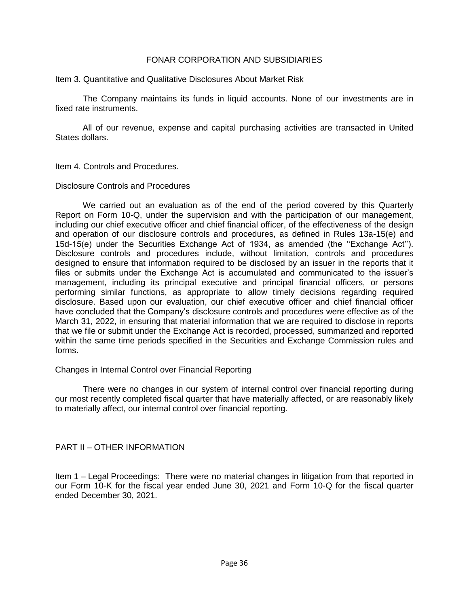Item 3. Quantitative and Qualitative Disclosures About Market Risk

The Company maintains its funds in liquid accounts. None of our investments are in fixed rate instruments.

All of our revenue, expense and capital purchasing activities are transacted in United States dollars.

Item 4. Controls and Procedures.

Disclosure Controls and Procedures

We carried out an evaluation as of the end of the period covered by this Quarterly Report on Form 10-Q, under the supervision and with the participation of our management, including our chief executive officer and chief financial officer, of the effectiveness of the design and operation of our disclosure controls and procedures, as defined in Rules 13a-15(e) and 15d-15(e) under the Securities Exchange Act of 1934, as amended (the ''Exchange Act''). Disclosure controls and procedures include, without limitation, controls and procedures designed to ensure that information required to be disclosed by an issuer in the reports that it files or submits under the Exchange Act is accumulated and communicated to the issuer's management, including its principal executive and principal financial officers, or persons performing similar functions, as appropriate to allow timely decisions regarding required disclosure. Based upon our evaluation, our chief executive officer and chief financial officer have concluded that the Company's disclosure controls and procedures were effective as of the March 31, 2022, in ensuring that material information that we are required to disclose in reports that we file or submit under the Exchange Act is recorded, processed, summarized and reported within the same time periods specified in the Securities and Exchange Commission rules and forms.

#### Changes in Internal Control over Financial Reporting

There were no changes in our system of internal control over financial reporting during our most recently completed fiscal quarter that have materially affected, or are reasonably likely to materially affect, our internal control over financial reporting.

PART II – OTHER INFORMATION

Item 1 – Legal Proceedings: There were no material changes in litigation from that reported in our Form 10-K for the fiscal year ended June 30, 2021 and Form 10-Q for the fiscal quarter ended December 30, 2021.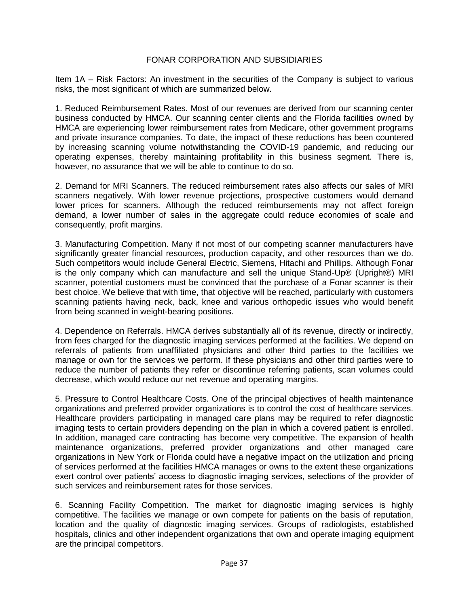Item 1A – Risk Factors: An investment in the securities of the Company is subject to various risks, the most significant of which are summarized below.

1. Reduced Reimbursement Rates. Most of our revenues are derived from our scanning center business conducted by HMCA. Our scanning center clients and the Florida facilities owned by HMCA are experiencing lower reimbursement rates from Medicare, other government programs and private insurance companies. To date, the impact of these reductions has been countered by increasing scanning volume notwithstanding the COVID-19 pandemic, and reducing our operating expenses, thereby maintaining profitability in this business segment. There is, however, no assurance that we will be able to continue to do so.

2. Demand for MRI Scanners. The reduced reimbursement rates also affects our sales of MRI scanners negatively. With lower revenue projections, prospective customers would demand lower prices for scanners. Although the reduced reimbursements may not affect foreign demand, a lower number of sales in the aggregate could reduce economies of scale and consequently, profit margins.

3. Manufacturing Competition. Many if not most of our competing scanner manufacturers have significantly greater financial resources, production capacity, and other resources than we do. Such competitors would include General Electric, Siemens, Hitachi and Phillips. Although Fonar is the only company which can manufacture and sell the unique Stand-Up® (Upright®) MRI scanner, potential customers must be convinced that the purchase of a Fonar scanner is their best choice. We believe that with time, that objective will be reached, particularly with customers scanning patients having neck, back, knee and various orthopedic issues who would benefit from being scanned in weight-bearing positions.

4. Dependence on Referrals. HMCA derives substantially all of its revenue, directly or indirectly, from fees charged for the diagnostic imaging services performed at the facilities. We depend on referrals of patients from unaffiliated physicians and other third parties to the facilities we manage or own for the services we perform. If these physicians and other third parties were to reduce the number of patients they refer or discontinue referring patients, scan volumes could decrease, which would reduce our net revenue and operating margins.

5. Pressure to Control Healthcare Costs. One of the principal objectives of health maintenance organizations and preferred provider organizations is to control the cost of healthcare services. Healthcare providers participating in managed care plans may be required to refer diagnostic imaging tests to certain providers depending on the plan in which a covered patient is enrolled. In addition, managed care contracting has become very competitive. The expansion of health maintenance organizations, preferred provider organizations and other managed care organizations in New York or Florida could have a negative impact on the utilization and pricing of services performed at the facilities HMCA manages or owns to the extent these organizations exert control over patients' access to diagnostic imaging services, selections of the provider of such services and reimbursement rates for those services.

6. Scanning Facility Competition. The market for diagnostic imaging services is highly competitive. The facilities we manage or own compete for patients on the basis of reputation, location and the quality of diagnostic imaging services. Groups of radiologists, established hospitals, clinics and other independent organizations that own and operate imaging equipment are the principal competitors.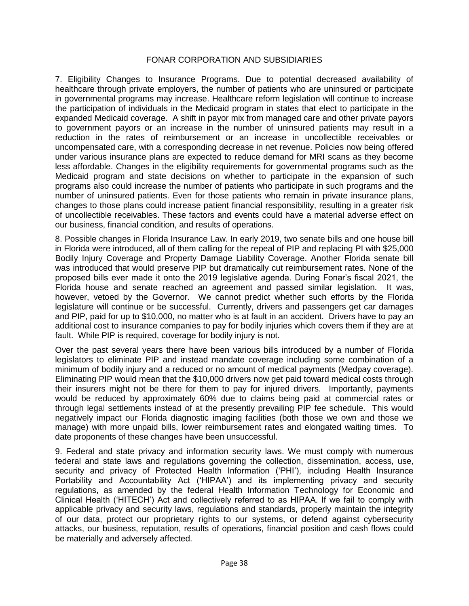7. Eligibility Changes to Insurance Programs. Due to potential decreased availability of healthcare through private employers, the number of patients who are uninsured or participate in governmental programs may increase. Healthcare reform legislation will continue to increase the participation of individuals in the Medicaid program in states that elect to participate in the expanded Medicaid coverage. A shift in payor mix from managed care and other private payors to government payors or an increase in the number of uninsured patients may result in a reduction in the rates of reimbursement or an increase in uncollectible receivables or uncompensated care, with a corresponding decrease in net revenue. Policies now being offered under various insurance plans are expected to reduce demand for MRI scans as they become less affordable. Changes in the eligibility requirements for governmental programs such as the Medicaid program and state decisions on whether to participate in the expansion of such programs also could increase the number of patients who participate in such programs and the number of uninsured patients. Even for those patients who remain in private insurance plans, changes to those plans could increase patient financial responsibility, resulting in a greater risk of uncollectible receivables. These factors and events could have a material adverse effect on our business, financial condition, and results of operations.

8. Possible changes in Florida Insurance Law. In early 2019, two senate bills and one house bill in Florida were introduced, all of them calling for the repeal of PIP and replacing PI with \$25,000 Bodily Injury Coverage and Property Damage Liability Coverage. Another Florida senate bill was introduced that would preserve PIP but dramatically cut reimbursement rates. None of the proposed bills ever made it onto the 2019 legislative agenda. During Fonar's fiscal 2021, the Florida house and senate reached an agreement and passed similar legislation. It was, however, vetoed by the Governor. We cannot predict whether such efforts by the Florida legislature will continue or be successful. Currently, drivers and passengers get car damages and PIP, paid for up to \$10,000, no matter who is at fault in an accident. Drivers have to pay an additional cost to insurance companies to pay for bodily injuries which covers them if they are at fault. While PIP is required, coverage for bodily injury is not.

Over the past several years there have been various bills introduced by a number of Florida legislators to eliminate PIP and instead mandate coverage including some combination of a minimum of bodily injury and a reduced or no amount of medical payments (Medpay coverage). Eliminating PIP would mean that the \$10,000 drivers now get paid toward medical costs through their insurers might not be there for them to pay for injured drivers. Importantly, payments would be reduced by approximately 60% due to claims being paid at commercial rates or through legal settlements instead of at the presently prevailing PIP fee schedule. This would negatively impact our Florida diagnostic imaging facilities (both those we own and those we manage) with more unpaid bills, lower reimbursement rates and elongated waiting times. To date proponents of these changes have been unsuccessful.

9. Federal and state privacy and information security laws. We must comply with numerous federal and state laws and regulations governing the collection, dissemination, access, use, security and privacy of Protected Health Information ('PHI'), including Health Insurance Portability and Accountability Act ('HIPAA') and its implementing privacy and security regulations, as amended by the federal Health Information Technology for Economic and Clinical Health ('HITECH') Act and collectively referred to as HIPAA. If we fail to comply with applicable privacy and security laws, regulations and standards, properly maintain the integrity of our data, protect our proprietary rights to our systems, or defend against cybersecurity attacks, our business, reputation, results of operations, financial position and cash flows could be materially and adversely affected.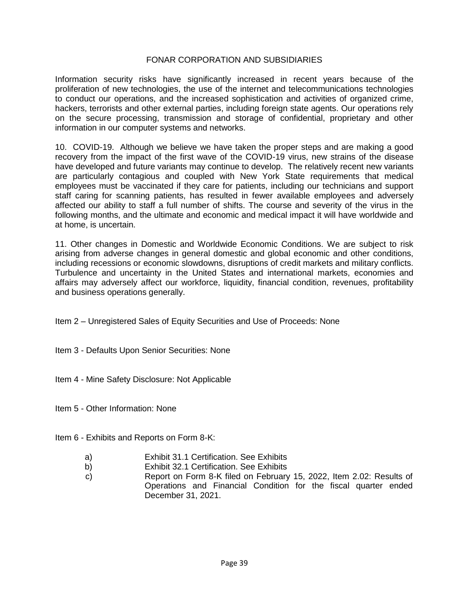Information security risks have significantly increased in recent years because of the proliferation of new technologies, the use of the internet and telecommunications technologies to conduct our operations, and the increased sophistication and activities of organized crime, hackers, terrorists and other external parties, including foreign state agents. Our operations rely on the secure processing, transmission and storage of confidential, proprietary and other information in our computer systems and networks.

10. COVID-19. Although we believe we have taken the proper steps and are making a good recovery from the impact of the first wave of the COVID-19 virus, new strains of the disease have developed and future variants may continue to develop. The relatively recent new variants are particularly contagious and coupled with New York State requirements that medical employees must be vaccinated if they care for patients, including our technicians and support staff caring for scanning patients, has resulted in fewer available employees and adversely affected our ability to staff a full number of shifts. The course and severity of the virus in the following months, and the ultimate and economic and medical impact it will have worldwide and at home, is uncertain.

11. Other changes in Domestic and Worldwide Economic Conditions. We are subject to risk arising from adverse changes in general domestic and global economic and other conditions, including recessions or economic slowdowns, disruptions of credit markets and military conflicts. Turbulence and uncertainty in the United States and international markets, economies and affairs may adversely affect our workforce, liquidity, financial condition, revenues, profitability and business operations generally.

Item 2 – Unregistered Sales of Equity Securities and Use of Proceeds: None

- Item 3 Defaults Upon Senior Securities: None
- Item 4 Mine Safety Disclosure: Not Applicable
- Item 5 Other Information: None
- Item 6 Exhibits and Reports on Form 8-K:
	- a) Exhibit 31.1 Certification. See Exhibits
	- b) Exhibit 32.1 Certification. See Exhibits
	- c) Report on Form 8-K filed on February 15, 2022, Item 2.02: Results of Operations and Financial Condition for the fiscal quarter ended December 31, 2021.